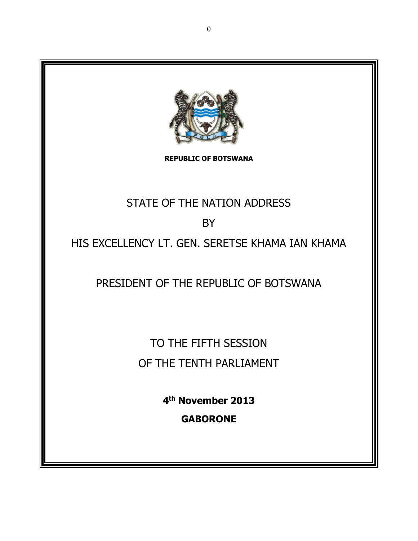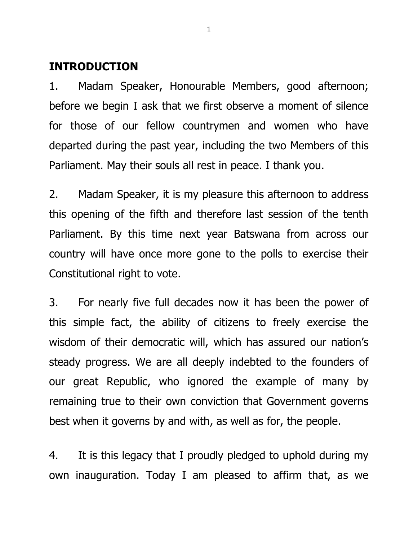## **INTRODUCTION**

1. Madam Speaker, Honourable Members, good afternoon; before we begin I ask that we first observe a moment of silence for those of our fellow countrymen and women who have departed during the past year, including the two Members of this Parliament. May their souls all rest in peace. I thank you.

2. Madam Speaker, it is my pleasure this afternoon to address this opening of the fifth and therefore last session of the tenth Parliament. By this time next year Batswana from across our country will have once more gone to the polls to exercise their Constitutional right to vote.

3. For nearly five full decades now it has been the power of this simple fact, the ability of citizens to freely exercise the wisdom of their democratic will, which has assured our nation's steady progress. We are all deeply indebted to the founders of our great Republic, who ignored the example of many by remaining true to their own conviction that Government governs best when it governs by and with, as well as for, the people.

4. It is this legacy that I proudly pledged to uphold during my own inauguration. Today I am pleased to affirm that, as we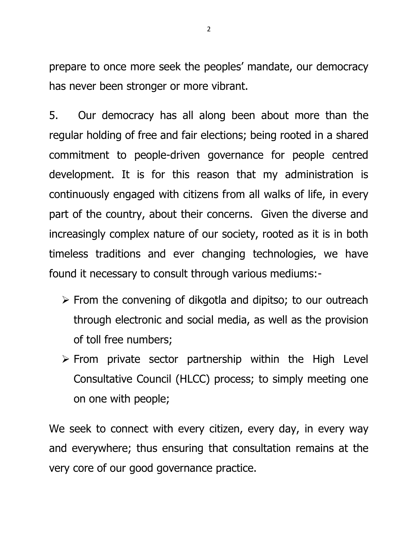prepare to once more seek the peoples' mandate, our democracy has never been stronger or more vibrant.

5. Our democracy has all along been about more than the regular holding of free and fair elections; being rooted in a shared commitment to people-driven governance for people centred development. It is for this reason that my administration is continuously engaged with citizens from all walks of life, in every part of the country, about their concerns. Given the diverse and increasingly complex nature of our society, rooted as it is in both timeless traditions and ever changing technologies, we have found it necessary to consult through various mediums:-

- $\triangleright$  From the convening of dikgotla and dipitso; to our outreach through electronic and social media, as well as the provision of toll free numbers;
- $\triangleright$  From private sector partnership within the High Level Consultative Council (HLCC) process; to simply meeting one on one with people;

We seek to connect with every citizen, every day, in every way and everywhere; thus ensuring that consultation remains at the very core of our good governance practice.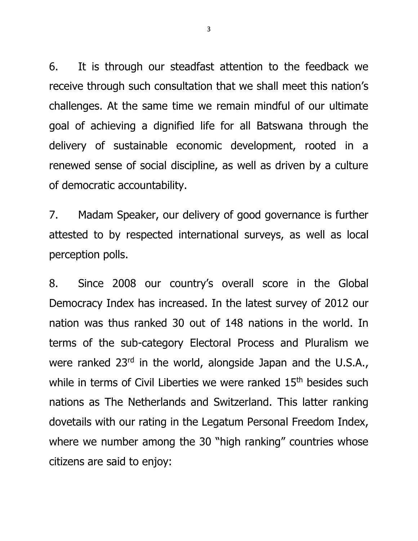6. It is through our steadfast attention to the feedback we receive through such consultation that we shall meet this nation's challenges. At the same time we remain mindful of our ultimate goal of achieving a dignified life for all Batswana through the delivery of sustainable economic development, rooted in a renewed sense of social discipline, as well as driven by a culture of democratic accountability.

7. Madam Speaker, our delivery of good governance is further attested to by respected international surveys, as well as local perception polls.

8. Since 2008 our country's overall score in the Global Democracy Index has increased. In the latest survey of 2012 our nation was thus ranked 30 out of 148 nations in the world. In terms of the sub-category Electoral Process and Pluralism we were ranked 23<sup>rd</sup> in the world, alongside Japan and the U.S.A., while in terms of Civil Liberties we were ranked 15<sup>th</sup> besides such nations as The Netherlands and Switzerland. This latter ranking dovetails with our rating in the Legatum Personal Freedom Index, where we number among the 30 "high ranking" countries whose citizens are said to enjoy: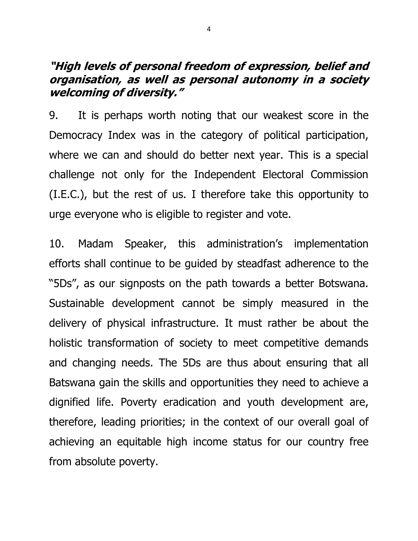# **"High levels of personal freedom of expression, belief and organisation, as well as personal autonomy in a society welcoming of diversity."**

9. It is perhaps worth noting that our weakest score in the Democracy Index was in the category of political participation, where we can and should do better next year. This is a special challenge not only for the Independent Electoral Commission (I.E.C.), but the rest of us. I therefore take this opportunity to urge everyone who is eligible to register and vote.

10. Madam Speaker, this administration's implementation efforts shall continue to be guided by steadfast adherence to the "5Ds", as our signposts on the path towards a better Botswana. Sustainable development cannot be simply measured in the delivery of physical infrastructure. It must rather be about the holistic transformation of society to meet competitive demands and changing needs. The 5Ds are thus about ensuring that all Batswana gain the skills and opportunities they need to achieve a dignified life. Poverty eradication and youth development are, therefore, leading priorities; in the context of our overall goal of achieving an equitable high income status for our country free from absolute poverty.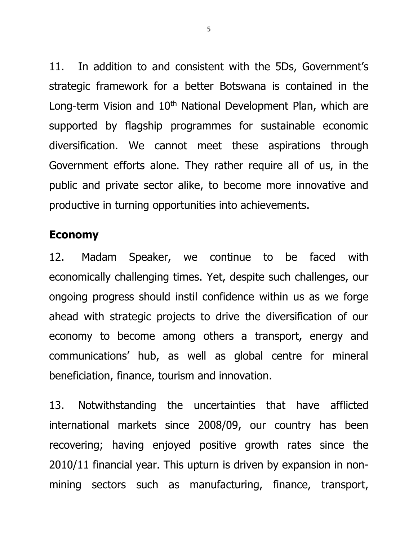11. In addition to and consistent with the 5Ds, Government's strategic framework for a better Botswana is contained in the Long-term Vision and  $10<sup>th</sup>$  National Development Plan, which are supported by flagship programmes for sustainable economic diversification. We cannot meet these aspirations through Government efforts alone. They rather require all of us, in the public and private sector alike, to become more innovative and productive in turning opportunities into achievements.

#### **Economy**

12. Madam Speaker, we continue to be faced with economically challenging times. Yet, despite such challenges, our ongoing progress should instil confidence within us as we forge ahead with strategic projects to drive the diversification of our economy to become among others a transport, energy and communications' hub, as well as global centre for mineral beneficiation, finance, tourism and innovation.

13. Notwithstanding the uncertainties that have afflicted international markets since 2008/09, our country has been recovering; having enjoyed positive growth rates since the 2010/11 financial year. This upturn is driven by expansion in nonmining sectors such as manufacturing, finance, transport,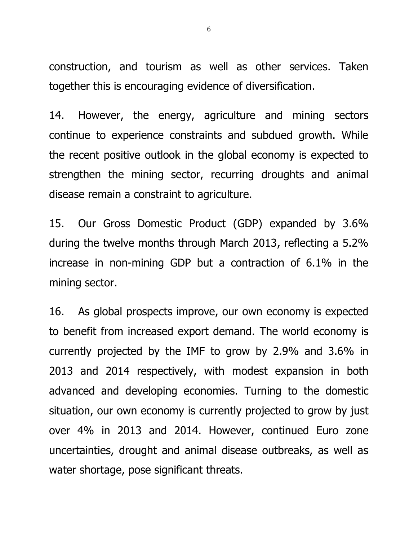construction, and tourism as well as other services. Taken together this is encouraging evidence of diversification.

14. However, the energy, agriculture and mining sectors continue to experience constraints and subdued growth. While the recent positive outlook in the global economy is expected to strengthen the mining sector, recurring droughts and animal disease remain a constraint to agriculture.

15. Our Gross Domestic Product (GDP) expanded by 3.6% during the twelve months through March 2013, reflecting a 5.2% increase in non-mining GDP but a contraction of 6.1% in the mining sector.

16. As global prospects improve, our own economy is expected to benefit from increased export demand. The world economy is currently projected by the IMF to grow by 2.9% and 3.6% in 2013 and 2014 respectively, with modest expansion in both advanced and developing economies. Turning to the domestic situation, our own economy is currently projected to grow by just over 4% in 2013 and 2014. However, continued Euro zone uncertainties, drought and animal disease outbreaks, as well as water shortage, pose significant threats.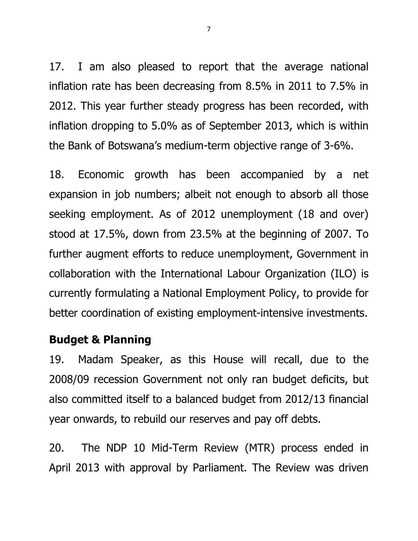17. I am also pleased to report that the average national inflation rate has been decreasing from 8.5% in 2011 to 7.5% in 2012. This year further steady progress has been recorded, with inflation dropping to 5.0% as of September 2013, which is within the Bank of Botswana's medium-term objective range of 3-6%.

18. Economic growth has been accompanied by a net expansion in job numbers; albeit not enough to absorb all those seeking employment. As of 2012 unemployment (18 and over) stood at 17.5%, down from 23.5% at the beginning of 2007. To further augment efforts to reduce unemployment, Government in collaboration with the International Labour Organization (ILO) is currently formulating a National Employment Policy, to provide for better coordination of existing employment-intensive investments.

# **Budget & Planning**

19. Madam Speaker, as this House will recall, due to the 2008/09 recession Government not only ran budget deficits, but also committed itself to a balanced budget from 2012/13 financial year onwards, to rebuild our reserves and pay off debts.

20. The NDP 10 Mid-Term Review (MTR) process ended in April 2013 with approval by Parliament. The Review was driven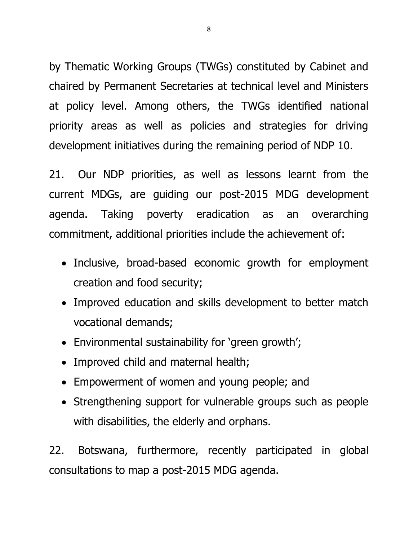by Thematic Working Groups (TWGs) constituted by Cabinet and chaired by Permanent Secretaries at technical level and Ministers at policy level. Among others, the TWGs identified national priority areas as well as policies and strategies for driving development initiatives during the remaining period of NDP 10.

21. Our NDP priorities, as well as lessons learnt from the current MDGs, are guiding our post-2015 MDG development agenda. Taking poverty eradication as an overarching commitment, additional priorities include the achievement of:

- Inclusive, broad-based economic growth for employment creation and food security;
- Improved education and skills development to better match vocational demands;
- Environmental sustainability for 'green growth';
- Improved child and maternal health;
- Empowerment of women and young people; and
- Strengthening support for vulnerable groups such as people with disabilities, the elderly and orphans.

22. Botswana, furthermore, recently participated in global consultations to map a post-2015 MDG agenda.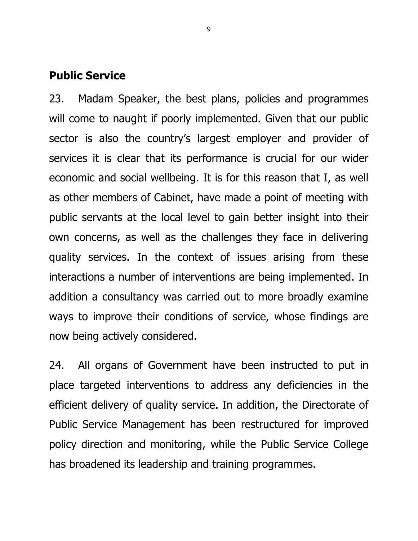#### **Public Service**

23. Madam Speaker, the best plans, policies and programmes will come to naught if poorly implemented. Given that our public sector is also the country's largest employer and provider of services it is clear that its performance is crucial for our wider economic and social wellbeing. It is for this reason that I, as well as other members of Cabinet, have made a point of meeting with public servants at the local level to gain better insight into their own concerns, as well as the challenges they face in delivering quality services. In the context of issues arising from these interactions a number of interventions are being implemented. In addition a consultancy was carried out to more broadly examine ways to improve their conditions of service, whose findings are now being actively considered.

24. All organs of Government have been instructed to put in place targeted interventions to address any deficiencies in the efficient delivery of quality service. In addition, the Directorate of Public Service Management has been restructured for improved policy direction and monitoring, while the Public Service College has broadened its leadership and training programmes.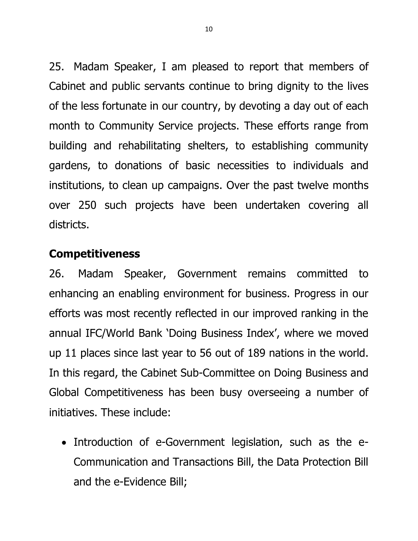25. Madam Speaker, I am pleased to report that members of Cabinet and public servants continue to bring dignity to the lives of the less fortunate in our country, by devoting a day out of each month to Community Service projects. These efforts range from building and rehabilitating shelters, to establishing community gardens, to donations of basic necessities to individuals and institutions, to clean up campaigns. Over the past twelve months over 250 such projects have been undertaken covering all districts.

# **Competitiveness**

26. Madam Speaker, Government remains committed to enhancing an enabling environment for business. Progress in our efforts was most recently reflected in our improved ranking in the annual IFC/World Bank 'Doing Business Index', where we moved up 11 places since last year to 56 out of 189 nations in the world. In this regard, the Cabinet Sub-Committee on Doing Business and Global Competitiveness has been busy overseeing a number of initiatives. These include:

• Introduction of e-Government legislation, such as the e-Communication and Transactions Bill, the Data Protection Bill and the e-Evidence Bill;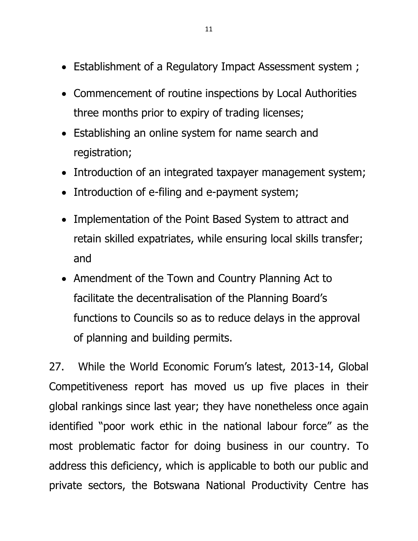- Establishment of a Regulatory Impact Assessment system ;
- Commencement of routine inspections by Local Authorities three months prior to expiry of trading licenses;
- Establishing an online system for name search and registration;
- Introduction of an integrated taxpayer management system;
- Introduction of e-filing and e-payment system;
- Implementation of the Point Based System to attract and retain skilled expatriates, while ensuring local skills transfer; and
- Amendment of the Town and Country Planning Act to facilitate the decentralisation of the Planning Board's functions to Councils so as to reduce delays in the approval of planning and building permits.

27. While the World Economic Forum's latest, 2013-14, Global Competitiveness report has moved us up five places in their global rankings since last year; they have nonetheless once again identified "poor work ethic in the national labour force" as the most problematic factor for doing business in our country. To address this deficiency, which is applicable to both our public and private sectors, the Botswana National Productivity Centre has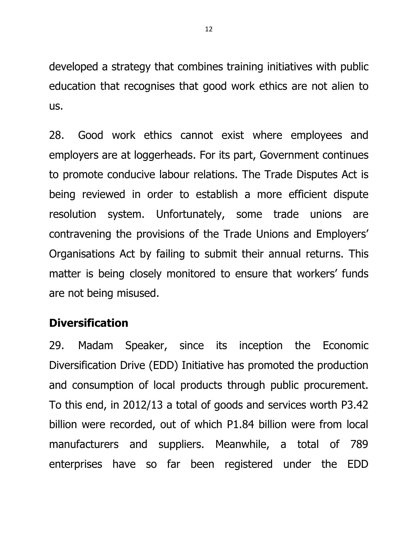developed a strategy that combines training initiatives with public education that recognises that good work ethics are not alien to us.

28. Good work ethics cannot exist where employees and employers are at loggerheads. For its part, Government continues to promote conducive labour relations. The Trade Disputes Act is being reviewed in order to establish a more efficient dispute resolution system. Unfortunately, some trade unions are contravening the provisions of the Trade Unions and Employers' Organisations Act by failing to submit their annual returns. This matter is being closely monitored to ensure that workers' funds are not being misused.

# **Diversification**

29. Madam Speaker, since its inception the Economic Diversification Drive (EDD) Initiative has promoted the production and consumption of local products through public procurement. To this end, in 2012/13 a total of goods and services worth P3.42 billion were recorded, out of which P1.84 billion were from local manufacturers and suppliers. Meanwhile, a total of 789 enterprises have so far been registered under the EDD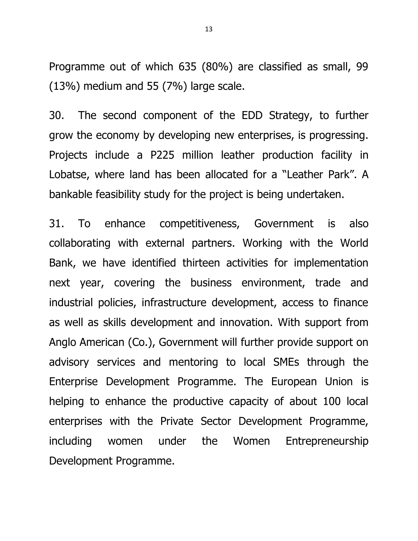Programme out of which 635 (80%) are classified as small, 99  $(13%)$  medium and 55  $(7%)$  large scale.

30. The second component of the EDD Strategy, to further grow the economy by developing new enterprises, is progressing. Projects include a P225 million leather production facility in Lobatse, where land has been allocated for a "Leather Park". A bankable feasibility study for the project is being undertaken.

31. To enhance competitiveness, Government is also collaborating with external partners. Working with the World Bank, we have identified thirteen activities for implementation next year, covering the business environment, trade and industrial policies, infrastructure development, access to finance as well as skills development and innovation. With support from Anglo American (Co.), Government will further provide support on advisory services and mentoring to local SMEs through the Enterprise Development Programme. The European Union is helping to enhance the productive capacity of about 100 local enterprises with the Private Sector Development Programme, including women under the Women Entrepreneurship Development Programme.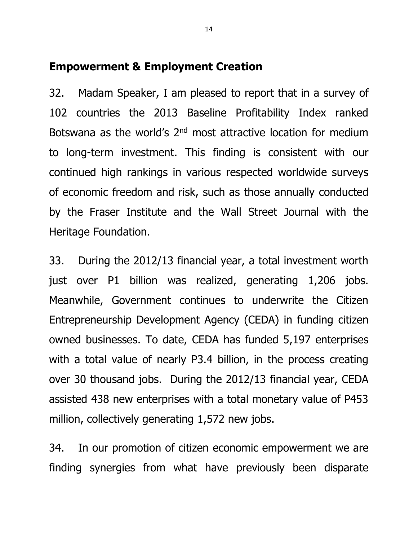## **Empowerment & Employment Creation**

32. Madam Speaker, I am pleased to report that in a survey of 102 countries the 2013 Baseline Profitability Index ranked Botswana as the world's 2<sup>nd</sup> most attractive location for medium to long-term investment. This finding is consistent with our continued high rankings in various respected worldwide surveys of economic freedom and risk, such as those annually conducted by the Fraser Institute and the Wall Street Journal with the Heritage Foundation.

33. During the 2012/13 financial year, a total investment worth just over P1 billion was realized, generating 1,206 jobs. Meanwhile, Government continues to underwrite the Citizen Entrepreneurship Development Agency (CEDA) in funding citizen owned businesses. To date, CEDA has funded 5,197 enterprises with a total value of nearly P3.4 billion, in the process creating over 30 thousand jobs. During the 2012/13 financial year, CEDA assisted 438 new enterprises with a total monetary value of P453 million, collectively generating 1,572 new jobs.

34. In our promotion of citizen economic empowerment we are finding synergies from what have previously been disparate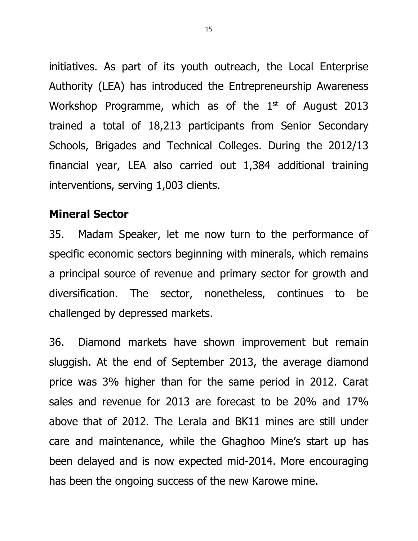initiatives. As part of its youth outreach, the Local Enterprise Authority (LEA) has introduced the Entrepreneurship Awareness Workshop Programme, which as of the  $1<sup>st</sup>$  of August 2013 trained a total of 18,213 participants from Senior Secondary Schools, Brigades and Technical Colleges. During the 2012/13 financial year, LEA also carried out 1,384 additional training interventions, serving 1,003 clients.

## **Mineral Sector**

35. Madam Speaker, let me now turn to the performance of specific economic sectors beginning with minerals, which remains a principal source of revenue and primary sector for growth and diversification. The sector, nonetheless, continues to be challenged by depressed markets.

36. Diamond markets have shown improvement but remain sluggish. At the end of September 2013, the average diamond price was 3% higher than for the same period in 2012. Carat sales and revenue for 2013 are forecast to be 20% and 17% above that of 2012. The Lerala and BK11 mines are still under care and maintenance, while the Ghaghoo Mine's start up has been delayed and is now expected mid-2014. More encouraging has been the ongoing success of the new Karowe mine.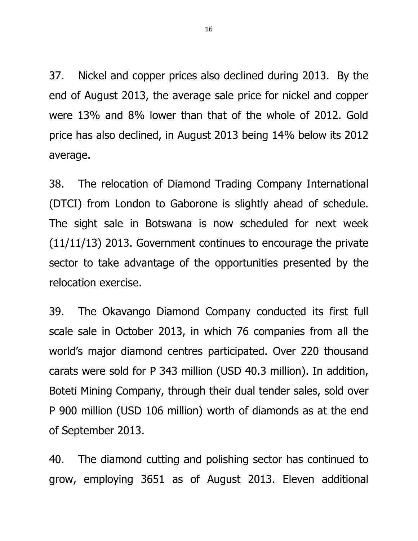37. Nickel and copper prices also declined during 2013. By the end of August 2013, the average sale price for nickel and copper were 13% and 8% lower than that of the whole of 2012. Gold price has also declined, in August 2013 being 14% below its 2012 average.

38. The relocation of Diamond Trading Company International (DTCI) from London to Gaborone is slightly ahead of schedule. The sight sale in Botswana is now scheduled for next week (11/11/13) 2013. Government continues to encourage the private sector to take advantage of the opportunities presented by the relocation exercise.

39. The Okavango Diamond Company conducted its first full scale sale in October 2013, in which 76 companies from all the world's major diamond centres participated. Over 220 thousand carats were sold for P 343 million (USD 40.3 million). In addition, Boteti Mining Company, through their dual tender sales, sold over P 900 million (USD 106 million) worth of diamonds as at the end of September 2013.

40. The diamond cutting and polishing sector has continued to grow, employing 3651 as of August 2013. Eleven additional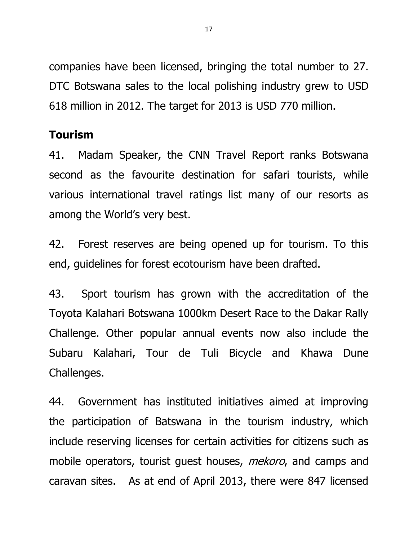companies have been licensed, bringing the total number to 27. DTC Botswana sales to the local polishing industry grew to USD 618 million in 2012. The target for 2013 is USD 770 million.

# **Tourism**

41. Madam Speaker, the CNN Travel Report ranks Botswana second as the favourite destination for safari tourists, while various international travel ratings list many of our resorts as among the World's very best.

42. Forest reserves are being opened up for tourism. To this end, guidelines for forest ecotourism have been drafted.

43. Sport tourism has grown with the accreditation of the Toyota Kalahari Botswana 1000km Desert Race to the Dakar Rally Challenge. Other popular annual events now also include the Subaru Kalahari, Tour de Tuli Bicycle and Khawa Dune Challenges.

44. Government has instituted initiatives aimed at improving the participation of Batswana in the tourism industry, which include reserving licenses for certain activities for citizens such as mobile operators, tourist quest houses, *mekoro*, and camps and caravan sites. As at end of April 2013, there were 847 licensed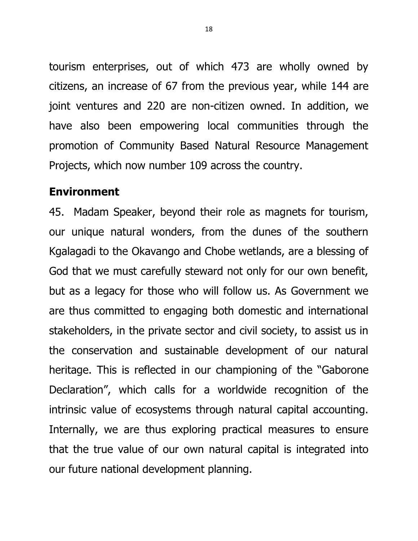tourism enterprises, out of which 473 are wholly owned by citizens, an increase of 67 from the previous year, while 144 are joint ventures and 220 are non-citizen owned. In addition, we have also been empowering local communities through the promotion of Community Based Natural Resource Management Projects, which now number 109 across the country.

#### **Environment**

45. Madam Speaker, beyond their role as magnets for tourism, our unique natural wonders, from the dunes of the southern Kgalagadi to the Okavango and Chobe wetlands, are a blessing of God that we must carefully steward not only for our own benefit, but as a legacy for those who will follow us. As Government we are thus committed to engaging both domestic and international stakeholders, in the private sector and civil society, to assist us in the conservation and sustainable development of our natural heritage. This is reflected in our championing of the "Gaborone Declaration", which calls for a worldwide recognition of the intrinsic value of ecosystems through natural capital accounting. Internally, we are thus exploring practical measures to ensure that the true value of our own natural capital is integrated into our future national development planning.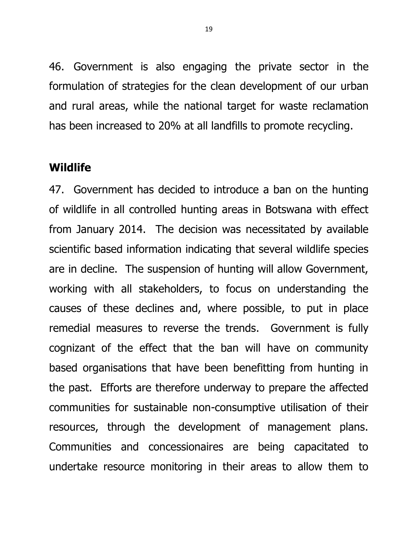46. Government is also engaging the private sector in the formulation of strategies for the clean development of our urban and rural areas, while the national target for waste reclamation has been increased to 20% at all landfills to promote recycling.

#### **Wildlife**

47. Government has decided to introduce a ban on the hunting of wildlife in all controlled hunting areas in Botswana with effect from January 2014. The decision was necessitated by available scientific based information indicating that several wildlife species are in decline. The suspension of hunting will allow Government, working with all stakeholders, to focus on understanding the causes of these declines and, where possible, to put in place remedial measures to reverse the trends. Government is fully cognizant of the effect that the ban will have on community based organisations that have been benefitting from hunting in the past. Efforts are therefore underway to prepare the affected communities for sustainable non-consumptive utilisation of their resources, through the development of management plans. Communities and concessionaires are being capacitated to undertake resource monitoring in their areas to allow them to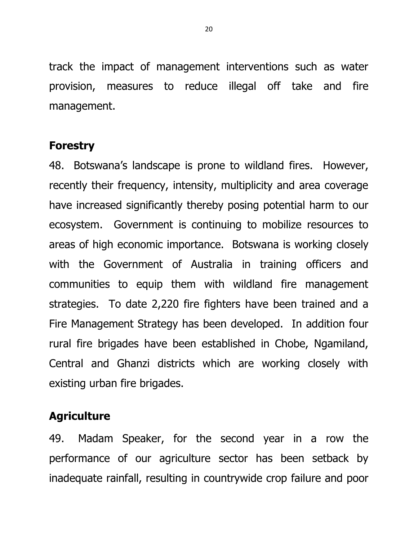track the impact of management interventions such as water provision, measures to reduce illegal off take and fire management.

# **Forestry**

48. Botswana's landscape is prone to wildland fires. However, recently their frequency, intensity, multiplicity and area coverage have increased significantly thereby posing potential harm to our ecosystem. Government is continuing to mobilize resources to areas of high economic importance. Botswana is working closely with the Government of Australia in training officers and communities to equip them with wildland fire management strategies. To date 2,220 fire fighters have been trained and a Fire Management Strategy has been developed. In addition four rural fire brigades have been established in Chobe, Ngamiland, Central and Ghanzi districts which are working closely with existing urban fire brigades.

# **Agriculture**

49. Madam Speaker, for the second year in a row the performance of our agriculture sector has been setback by inadequate rainfall, resulting in countrywide crop failure and poor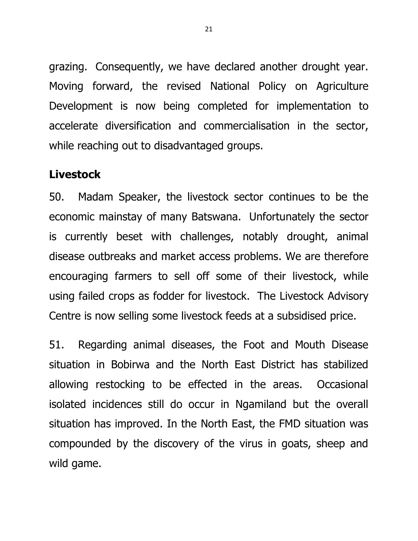grazing. Consequently, we have declared another drought year. Moving forward, the revised National Policy on Agriculture Development is now being completed for implementation to accelerate diversification and commercialisation in the sector, while reaching out to disadvantaged groups.

#### **Livestock**

50. Madam Speaker, the livestock sector continues to be the economic mainstay of many Batswana. Unfortunately the sector is currently beset with challenges, notably drought, animal disease outbreaks and market access problems. We are therefore encouraging farmers to sell off some of their livestock, while using failed crops as fodder for livestock. The Livestock Advisory Centre is now selling some livestock feeds at a subsidised price.

51. Regarding animal diseases, the Foot and Mouth Disease situation in Bobirwa and the North East District has stabilized allowing restocking to be effected in the areas. Occasional isolated incidences still do occur in Ngamiland but the overall situation has improved. In the North East, the FMD situation was compounded by the discovery of the virus in goats, sheep and wild game.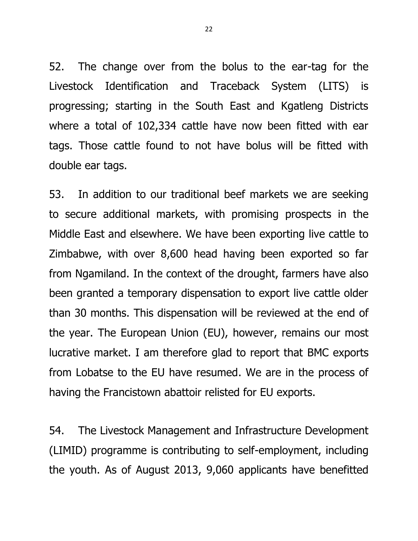52. The change over from the bolus to the ear-tag for the Livestock Identification and Traceback System (LITS) is progressing; starting in the South East and Kgatleng Districts where a total of 102,334 cattle have now been fitted with ear tags. Those cattle found to not have bolus will be fitted with double ear tags.

53. In addition to our traditional beef markets we are seeking to secure additional markets, with promising prospects in the Middle East and elsewhere. We have been exporting live cattle to Zimbabwe, with over 8,600 head having been exported so far from Ngamiland. In the context of the drought, farmers have also been granted a temporary dispensation to export live cattle older than 30 months. This dispensation will be reviewed at the end of the year. The European Union (EU), however, remains our most lucrative market. I am therefore glad to report that BMC exports from Lobatse to the EU have resumed. We are in the process of having the Francistown abattoir relisted for EU exports.

54. The Livestock Management and Infrastructure Development (LIMID) programme is contributing to self-employment, including the youth. As of August 2013, 9,060 applicants have benefitted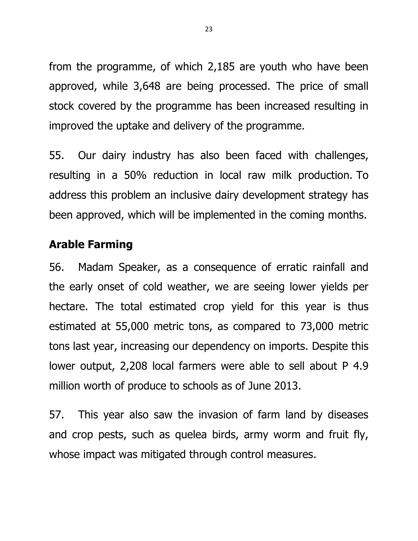from the programme, of which 2,185 are youth who have been approved, while 3,648 are being processed. The price of small stock covered by the programme has been increased resulting in improved the uptake and delivery of the programme.

55. Our dairy industry has also been faced with challenges, resulting in a 50% reduction in local raw milk production. To address this problem an inclusive dairy development strategy has been approved, which will be implemented in the coming months.

# **Arable Farming**

56. Madam Speaker, as a consequence of erratic rainfall and the early onset of cold weather, we are seeing lower yields per hectare. The total estimated crop yield for this year is thus estimated at 55,000 metric tons, as compared to 73,000 metric tons last year, increasing our dependency on imports. Despite this lower output, 2,208 local farmers were able to sell about P 4.9 million worth of produce to schools as of June 2013.

57. This year also saw the invasion of farm land by diseases and crop pests, such as quelea birds, army worm and fruit fly, whose impact was mitigated through control measures.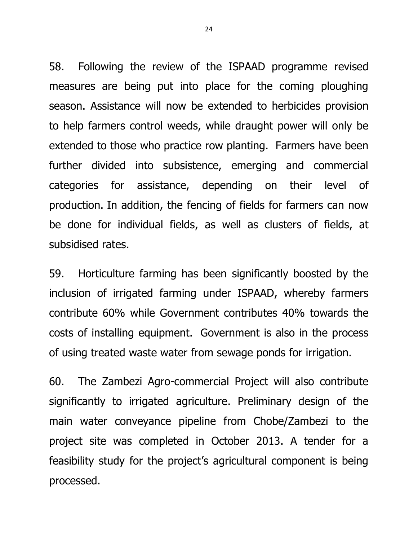58. Following the review of the ISPAAD programme revised measures are being put into place for the coming ploughing season. Assistance will now be extended to herbicides provision to help farmers control weeds, while draught power will only be extended to those who practice row planting. Farmers have been further divided into subsistence, emerging and commercial categories for assistance, depending on their level of production. In addition, the fencing of fields for farmers can now be done for individual fields, as well as clusters of fields, at subsidised rates.

59. Horticulture farming has been significantly boosted by the inclusion of irrigated farming under ISPAAD, whereby farmers contribute 60% while Government contributes 40% towards the costs of installing equipment. Government is also in the process of using treated waste water from sewage ponds for irrigation.

60. The Zambezi Agro-commercial Project will also contribute significantly to irrigated agriculture. Preliminary design of the main water conveyance pipeline from Chobe/Zambezi to the project site was completed in October 2013. A tender for a feasibility study for the project's agricultural component is being processed.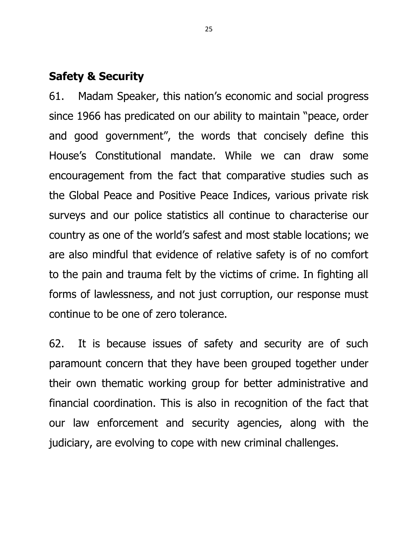## **Safety & Security**

61. Madam Speaker, this nation's economic and social progress since 1966 has predicated on our ability to maintain "peace, order and good government", the words that concisely define this House's Constitutional mandate. While we can draw some encouragement from the fact that comparative studies such as the Global Peace and Positive Peace Indices, various private risk surveys and our police statistics all continue to characterise our country as one of the world's safest and most stable locations; we are also mindful that evidence of relative safety is of no comfort to the pain and trauma felt by the victims of crime. In fighting all forms of lawlessness, and not just corruption, our response must continue to be one of zero tolerance.

62. It is because issues of safety and security are of such paramount concern that they have been grouped together under their own thematic working group for better administrative and financial coordination. This is also in recognition of the fact that our law enforcement and security agencies, along with the judiciary, are evolving to cope with new criminal challenges.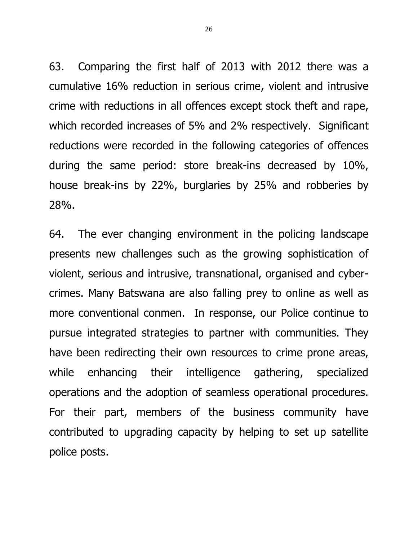63. Comparing the first half of 2013 with 2012 there was a cumulative 16% reduction in serious crime, violent and intrusive crime with reductions in all offences except stock theft and rape, which recorded increases of 5% and 2% respectively. Significant reductions were recorded in the following categories of offences during the same period: store break-ins decreased by 10%, house break-ins by 22%, burglaries by 25% and robberies by 28%.

64. The ever changing environment in the policing landscape presents new challenges such as the growing sophistication of violent, serious and intrusive, transnational, organised and cybercrimes. Many Batswana are also falling prey to online as well as more conventional conmen. In response, our Police continue to pursue integrated strategies to partner with communities. They have been redirecting their own resources to crime prone areas, while enhancing their intelligence gathering, specialized operations and the adoption of seamless operational procedures. For their part, members of the business community have contributed to upgrading capacity by helping to set up satellite police posts.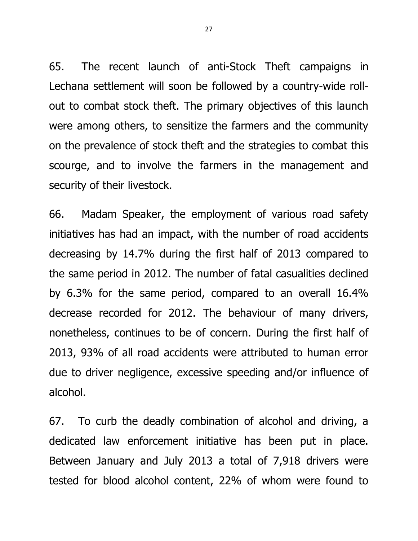65. The recent launch of anti-Stock Theft campaigns in Lechana settlement will soon be followed by a country-wide rollout to combat stock theft. The primary objectives of this launch were among others, to sensitize the farmers and the community on the prevalence of stock theft and the strategies to combat this scourge, and to involve the farmers in the management and security of their livestock.

66. Madam Speaker, the employment of various road safety initiatives has had an impact, with the number of road accidents decreasing by 14.7% during the first half of 2013 compared to the same period in 2012. The number of fatal casualities declined by 6.3% for the same period, compared to an overall 16.4% decrease recorded for 2012. The behaviour of many drivers, nonetheless, continues to be of concern. During the first half of 2013, 93% of all road accidents were attributed to human error due to driver negligence, excessive speeding and/or influence of alcohol.

67. To curb the deadly combination of alcohol and driving, a dedicated law enforcement initiative has been put in place. Between January and July 2013 a total of 7,918 drivers were tested for blood alcohol content, 22% of whom were found to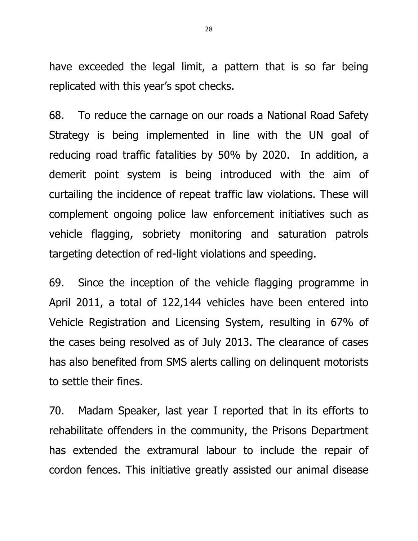have exceeded the legal limit, a pattern that is so far being replicated with this year's spot checks.

68. To reduce the carnage on our roads a National Road Safety Strategy is being implemented in line with the UN goal of reducing road traffic fatalities by 50% by 2020. In addition, a demerit point system is being introduced with the aim of curtailing the incidence of repeat traffic law violations. These will complement ongoing police law enforcement initiatives such as vehicle flagging, sobriety monitoring and saturation patrols targeting detection of red-light violations and speeding.

69. Since the inception of the vehicle flagging programme in April 2011, a total of 122,144 vehicles have been entered into Vehicle Registration and Licensing System, resulting in 67% of the cases being resolved as of July 2013. The clearance of cases has also benefited from SMS alerts calling on delinquent motorists to settle their fines.

70. Madam Speaker, last year I reported that in its efforts to rehabilitate offenders in the community, the Prisons Department has extended the extramural labour to include the repair of cordon fences. This initiative greatly assisted our animal disease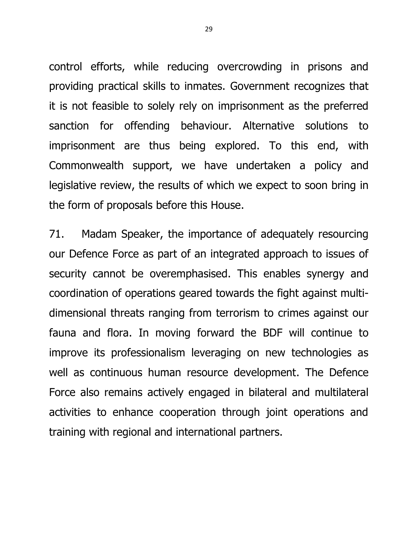control efforts, while reducing overcrowding in prisons and providing practical skills to inmates. Government recognizes that it is not feasible to solely rely on imprisonment as the preferred sanction for offending behaviour. Alternative solutions to imprisonment are thus being explored. To this end, with Commonwealth support, we have undertaken a policy and legislative review, the results of which we expect to soon bring in the form of proposals before this House.

71. Madam Speaker, the importance of adequately resourcing our Defence Force as part of an integrated approach to issues of security cannot be overemphasised. This enables synergy and coordination of operations geared towards the fight against multidimensional threats ranging from terrorism to crimes against our fauna and flora. In moving forward the BDF will continue to improve its professionalism leveraging on new technologies as well as continuous human resource development. The Defence Force also remains actively engaged in bilateral and multilateral activities to enhance cooperation through joint operations and training with regional and international partners.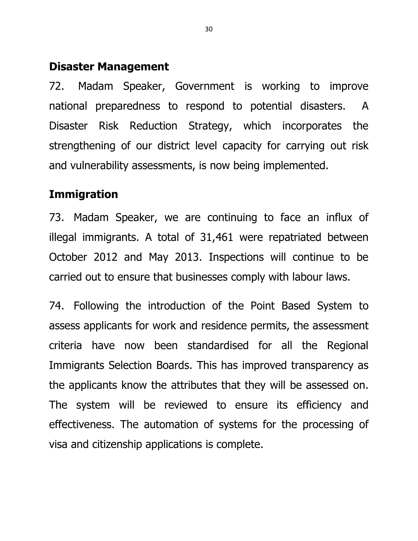## **Disaster Management**

72. Madam Speaker, Government is working to improve national preparedness to respond to potential disasters. A Disaster Risk Reduction Strategy, which incorporates the strengthening of our district level capacity for carrying out risk and vulnerability assessments, is now being implemented.

## **Immigration**

73. Madam Speaker, we are continuing to face an influx of illegal immigrants. A total of 31,461 were repatriated between October 2012 and May 2013. Inspections will continue to be carried out to ensure that businesses comply with labour laws.

74. Following the introduction of the Point Based System to assess applicants for work and residence permits, the assessment criteria have now been standardised for all the Regional Immigrants Selection Boards. This has improved transparency as the applicants know the attributes that they will be assessed on. The system will be reviewed to ensure its efficiency and effectiveness. The automation of systems for the processing of visa and citizenship applications is complete.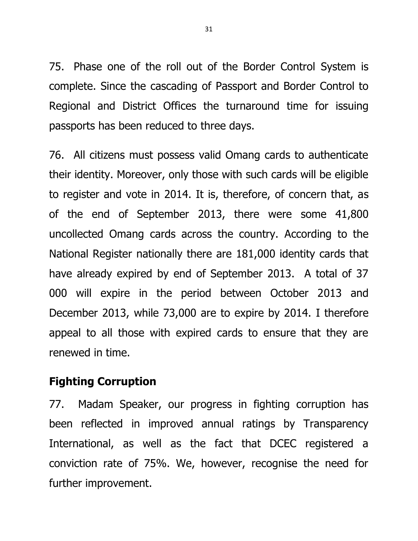75. Phase one of the roll out of the Border Control System is complete. Since the cascading of Passport and Border Control to Regional and District Offices the turnaround time for issuing passports has been reduced to three days.

76. All citizens must possess valid Omang cards to authenticate their identity. Moreover, only those with such cards will be eligible to register and vote in 2014. It is, therefore, of concern that, as of the end of September 2013, there were some 41,800 uncollected Omang cards across the country. According to the National Register nationally there are 181,000 identity cards that have already expired by end of September 2013. A total of 37 000 will expire in the period between October 2013 and December 2013, while 73,000 are to expire by 2014. I therefore appeal to all those with expired cards to ensure that they are renewed in time.

# **Fighting Corruption**

77. Madam Speaker, our progress in fighting corruption has been reflected in improved annual ratings by Transparency International, as well as the fact that DCEC registered a conviction rate of 75%. We, however, recognise the need for further improvement.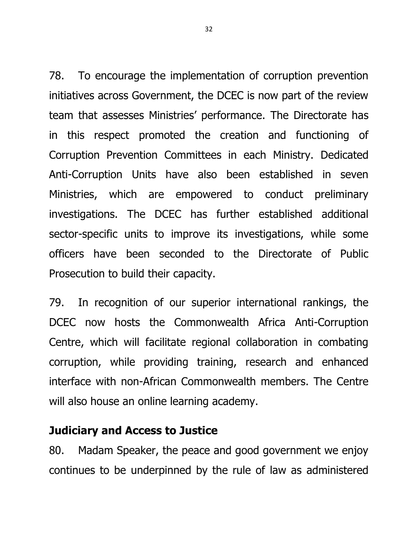78. To encourage the implementation of corruption prevention initiatives across Government, the DCEC is now part of the review team that assesses Ministries' performance. The Directorate has in this respect promoted the creation and functioning of Corruption Prevention Committees in each Ministry. Dedicated Anti-Corruption Units have also been established in seven Ministries, which are empowered to conduct preliminary investigations. The DCEC has further established additional sector-specific units to improve its investigations, while some officers have been seconded to the Directorate of Public Prosecution to build their capacity.

79. In recognition of our superior international rankings, the DCEC now hosts the Commonwealth Africa Anti-Corruption Centre, which will facilitate regional collaboration in combating corruption, while providing training, research and enhanced interface with non-African Commonwealth members. The Centre will also house an online learning academy.

### **Judiciary and Access to Justice**

80. Madam Speaker, the peace and good government we enjoy continues to be underpinned by the rule of law as administered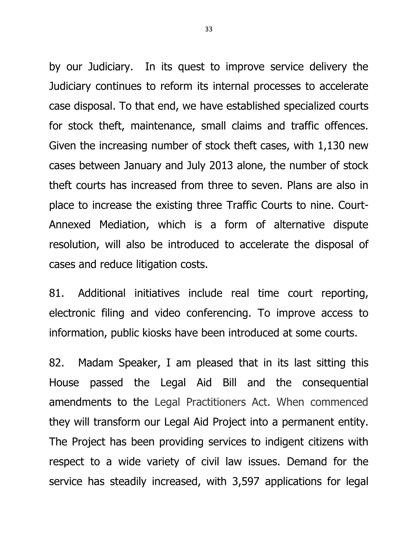by our Judiciary. In its quest to improve service delivery the Judiciary continues to reform its internal processes to accelerate case disposal. To that end, we have established specialized courts for stock theft, maintenance, small claims and traffic offences. Given the increasing number of stock theft cases, with 1,130 new cases between January and July 2013 alone, the number of stock theft courts has increased from three to seven. Plans are also in place to increase the existing three Traffic Courts to nine. Court-Annexed Mediation, which is a form of alternative dispute resolution, will also be introduced to accelerate the disposal of cases and reduce litigation costs.

81. Additional initiatives include real time court reporting, electronic filing and video conferencing. To improve access to information, public kiosks have been introduced at some courts.

82. Madam Speaker, I am pleased that in its last sitting this House passed the Legal Aid Bill and the consequential amendments to the Legal Practitioners Act. When commenced they will transform our Legal Aid Project into a permanent entity. The Project has been providing services to indigent citizens with respect to a wide variety of civil law issues. Demand for the service has steadily increased, with 3,597 applications for legal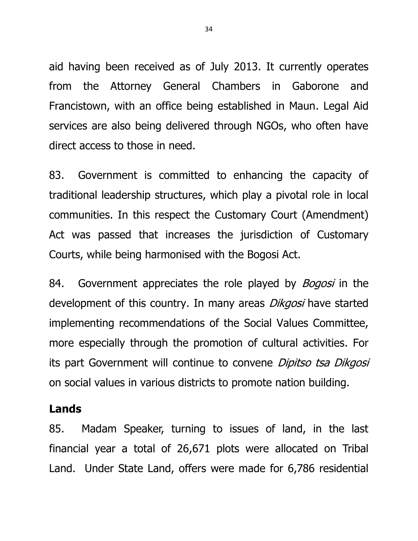aid having been received as of July 2013. It currently operates from the Attorney General Chambers in Gaborone and Francistown, with an office being established in Maun. Legal Aid services are also being delivered through NGOs, who often have direct access to those in need.

83. Government is committed to enhancing the capacity of traditional leadership structures, which play a pivotal role in local communities. In this respect the Customary Court (Amendment) Act was passed that increases the jurisdiction of Customary Courts, while being harmonised with the Bogosi Act.

84. Government appreciates the role played by *Bogosi* in the development of this country. In many areas *Dikgosi* have started implementing recommendations of the Social Values Committee, more especially through the promotion of cultural activities. For its part Government will continue to convene *Dipitso tsa Dikgosi* on social values in various districts to promote nation building.

### **Lands**

85. Madam Speaker, turning to issues of land, in the last financial year a total of 26,671 plots were allocated on Tribal Land. Under State Land, offers were made for 6,786 residential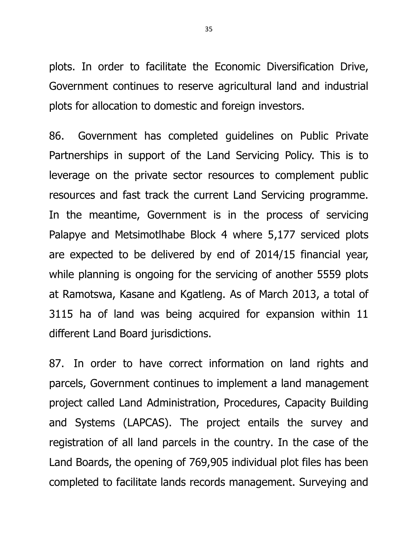plots. In order to facilitate the Economic Diversification Drive, Government continues to reserve agricultural land and industrial plots for allocation to domestic and foreign investors.

86. Government has completed guidelines on Public Private Partnerships in support of the Land Servicing Policy. This is to leverage on the private sector resources to complement public resources and fast track the current Land Servicing programme. In the meantime, Government is in the process of servicing Palapye and Metsimotlhabe Block 4 where 5,177 serviced plots are expected to be delivered by end of 2014/15 financial year, while planning is ongoing for the servicing of another 5559 plots at Ramotswa, Kasane and Kgatleng. As of March 2013, a total of 3115 ha of land was being acquired for expansion within 11 different Land Board jurisdictions.

87. In order to have correct information on land rights and parcels, Government continues to implement a land management project called Land Administration, Procedures, Capacity Building and Systems (LAPCAS). The project entails the survey and registration of all land parcels in the country. In the case of the Land Boards, the opening of 769,905 individual plot files has been completed to facilitate lands records management. Surveying and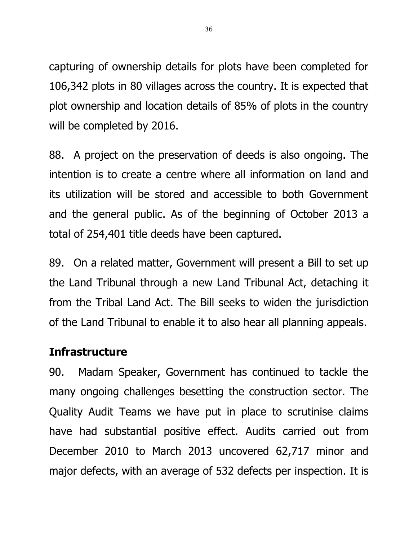capturing of ownership details for plots have been completed for 106,342 plots in 80 villages across the country. It is expected that plot ownership and location details of 85% of plots in the country will be completed by 2016.

88. A project on the preservation of deeds is also ongoing. The intention is to create a centre where all information on land and its utilization will be stored and accessible to both Government and the general public. As of the beginning of October 2013 a total of 254,401 title deeds have been captured.

89. On a related matter, Government will present a Bill to set up the Land Tribunal through a new Land Tribunal Act, detaching it from the Tribal Land Act. The Bill seeks to widen the jurisdiction of the Land Tribunal to enable it to also hear all planning appeals.

# **Infrastructure**

90. Madam Speaker, Government has continued to tackle the many ongoing challenges besetting the construction sector. The Quality Audit Teams we have put in place to scrutinise claims have had substantial positive effect. Audits carried out from December 2010 to March 2013 uncovered 62,717 minor and major defects, with an average of 532 defects per inspection. It is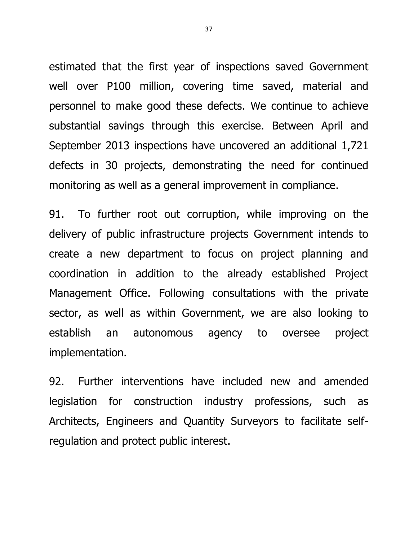estimated that the first year of inspections saved Government well over P100 million, covering time saved, material and personnel to make good these defects. We continue to achieve substantial savings through this exercise. Between April and September 2013 inspections have uncovered an additional 1,721 defects in 30 projects, demonstrating the need for continued monitoring as well as a general improvement in compliance.

91. To further root out corruption, while improving on the delivery of public infrastructure projects Government intends to create a new department to focus on project planning and coordination in addition to the already established Project Management Office. Following consultations with the private sector, as well as within Government, we are also looking to establish an autonomous agency to oversee project implementation.

92. Further interventions have included new and amended legislation for construction industry professions, such as Architects, Engineers and Quantity Surveyors to facilitate selfregulation and protect public interest.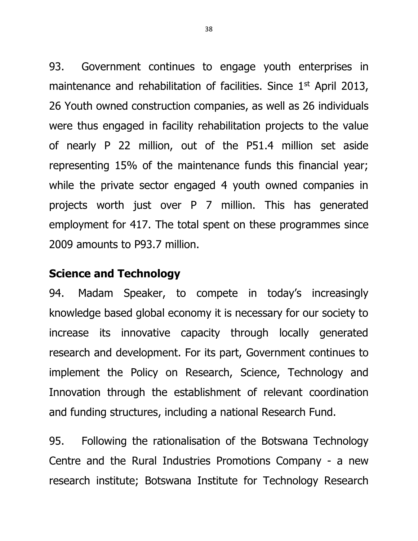93. Government continues to engage youth enterprises in maintenance and rehabilitation of facilities. Since  $1<sup>st</sup>$  April 2013, 26 Youth owned construction companies, as well as 26 individuals were thus engaged in facility rehabilitation projects to the value of nearly P 22 million, out of the P51.4 million set aside representing 15% of the maintenance funds this financial year; while the private sector engaged 4 youth owned companies in projects worth just over P 7 million. This has generated employment for 417. The total spent on these programmes since 2009 amounts to P93.7 million.

# **Science and Technology**

94. Madam Speaker, to compete in today's increasingly knowledge based global economy it is necessary for our society to increase its innovative capacity through locally generated research and development. For its part, Government continues to implement the Policy on Research, Science, Technology and Innovation through the establishment of relevant coordination and funding structures, including a national Research Fund.

95. Following the rationalisation of the Botswana Technology Centre and the Rural Industries Promotions Company - a new research institute; Botswana Institute for Technology Research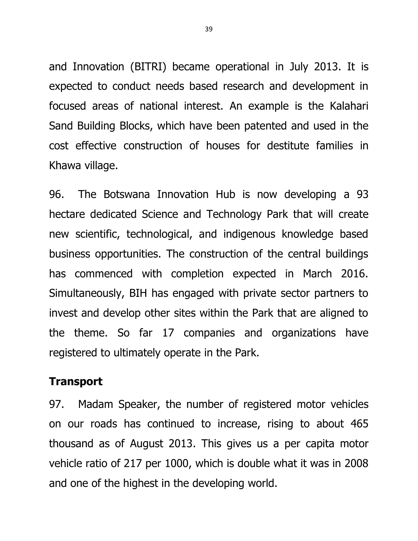and Innovation (BITRI) became operational in July 2013. It is expected to conduct needs based research and development in focused areas of national interest. An example is the Kalahari Sand Building Blocks, which have been patented and used in the cost effective construction of houses for destitute families in Khawa village.

96. The Botswana Innovation Hub is now developing a 93 hectare dedicated Science and Technology Park that will create new scientific, technological, and indigenous knowledge based business opportunities. The construction of the central buildings has commenced with completion expected in March 2016. Simultaneously, BIH has engaged with private sector partners to invest and develop other sites within the Park that are aligned to the theme. So far 17 companies and organizations have registered to ultimately operate in the Park.

# **Transport**

97. Madam Speaker, the number of registered motor vehicles on our roads has continued to increase, rising to about 465 thousand as of August 2013. This gives us a per capita motor vehicle ratio of 217 per 1000, which is double what it was in 2008 and one of the highest in the developing world.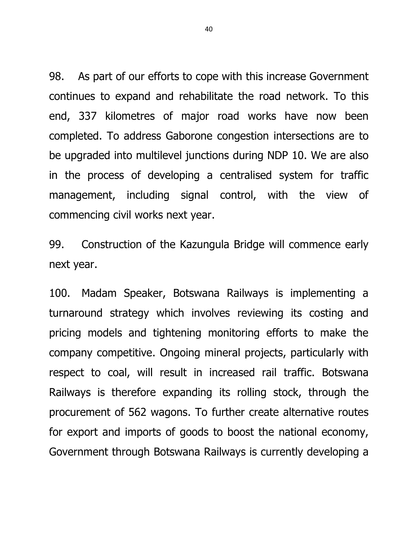98. As part of our efforts to cope with this increase Government continues to expand and rehabilitate the road network. To this end, 337 kilometres of major road works have now been completed. To address Gaborone congestion intersections are to be upgraded into multilevel junctions during NDP 10. We are also in the process of developing a centralised system for traffic management, including signal control, with the view of commencing civil works next year.

99. Construction of the Kazungula Bridge will commence early next year.

100. Madam Speaker, Botswana Railways is implementing a turnaround strategy which involves reviewing its costing and pricing models and tightening monitoring efforts to make the company competitive. Ongoing mineral projects, particularly with respect to coal, will result in increased rail traffic. Botswana Railways is therefore expanding its rolling stock, through the procurement of 562 wagons. To further create alternative routes for export and imports of goods to boost the national economy, Government through Botswana Railways is currently developing a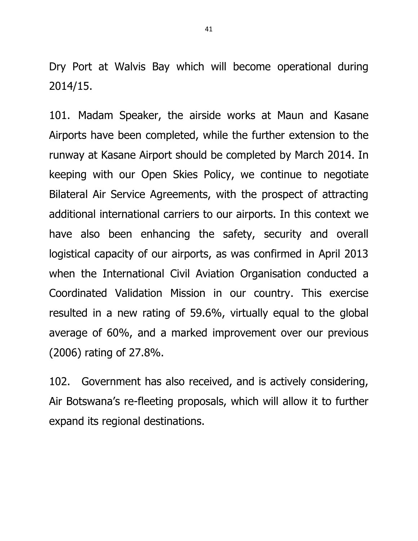Dry Port at Walvis Bay which will become operational during 2014/15.

101. Madam Speaker, the airside works at Maun and Kasane Airports have been completed, while the further extension to the runway at Kasane Airport should be completed by March 2014. In keeping with our Open Skies Policy, we continue to negotiate Bilateral Air Service Agreements, with the prospect of attracting additional international carriers to our airports. In this context we have also been enhancing the safety, security and overall logistical capacity of our airports, as was confirmed in April 2013 when the International Civil Aviation Organisation conducted a Coordinated Validation Mission in our country. This exercise resulted in a new rating of 59.6%, virtually equal to the global average of 60%, and a marked improvement over our previous (2006) rating of 27.8%.

102. Government has also received, and is actively considering, Air Botswana's re-fleeting proposals, which will allow it to further expand its regional destinations.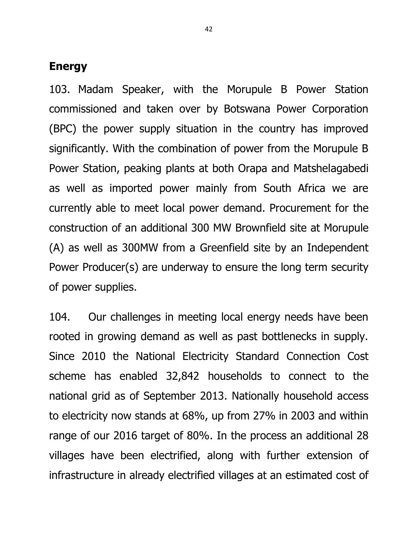### **Energy**

103. Madam Speaker, with the Morupule B Power Station commissioned and taken over by Botswana Power Corporation (BPC) the power supply situation in the country has improved significantly. With the combination of power from the Morupule B Power Station, peaking plants at both Orapa and Matshelagabedi as well as imported power mainly from South Africa we are currently able to meet local power demand. Procurement for the construction of an additional 300 MW Brownfield site at Morupule (A) as well as 300MW from a Greenfield site by an Independent Power Producer(s) are underway to ensure the long term security of power supplies.

104. Our challenges in meeting local energy needs have been rooted in growing demand as well as past bottlenecks in supply. Since 2010 the National Electricity Standard Connection Cost scheme has enabled 32,842 households to connect to the national grid as of September 2013. Nationally household access to electricity now stands at 68%, up from 27% in 2003 and within range of our 2016 target of 80%. In the process an additional 28 villages have been electrified, along with further extension of infrastructure in already electrified villages at an estimated cost of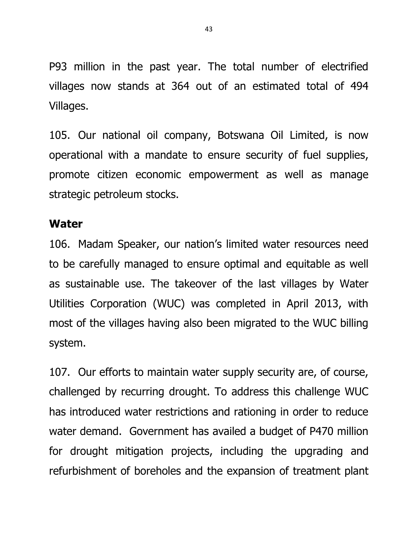P93 million in the past year. The total number of electrified villages now stands at 364 out of an estimated total of 494 Villages.

105. Our national oil company, Botswana Oil Limited, is now operational with a mandate to ensure security of fuel supplies, promote citizen economic empowerment as well as manage strategic petroleum stocks.

#### **Water**

106. Madam Speaker, our nation's limited water resources need to be carefully managed to ensure optimal and equitable as well as sustainable use. The takeover of the last villages by Water Utilities Corporation (WUC) was completed in April 2013, with most of the villages having also been migrated to the WUC billing system.

107. Our efforts to maintain water supply security are, of course, challenged by recurring drought. To address this challenge WUC has introduced water restrictions and rationing in order to reduce water demand. Government has availed a budget of P470 million for drought mitigation projects, including the upgrading and refurbishment of boreholes and the expansion of treatment plant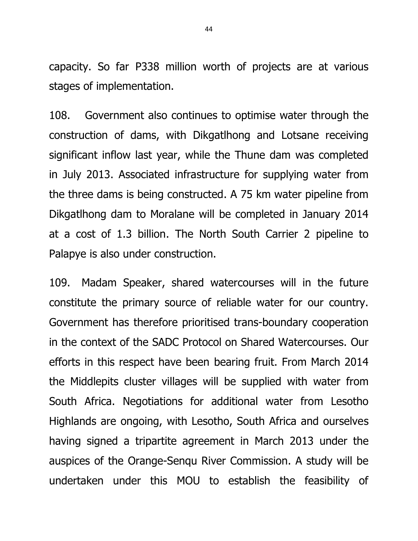capacity. So far P338 million worth of projects are at various stages of implementation.

108. Government also continues to optimise water through the construction of dams, with Dikgatlhong and Lotsane receiving significant inflow last year, while the Thune dam was completed in July 2013. Associated infrastructure for supplying water from the three dams is being constructed. A 75 km water pipeline from Dikgatlhong dam to Moralane will be completed in January 2014 at a cost of 1.3 billion. The North South Carrier 2 pipeline to Palapye is also under construction.

109. Madam Speaker, shared watercourses will in the future constitute the primary source of reliable water for our country. Government has therefore prioritised trans-boundary cooperation in the context of the SADC Protocol on Shared Watercourses. Our efforts in this respect have been bearing fruit. From March 2014 the Middlepits cluster villages will be supplied with water from South Africa. Negotiations for additional water from Lesotho Highlands are ongoing, with Lesotho, South Africa and ourselves having signed a tripartite agreement in March 2013 under the auspices of the Orange-Senqu River Commission. A study will be undertaken under this MOU to establish the feasibility of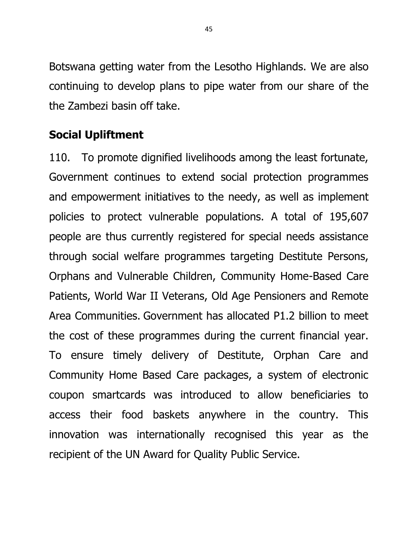Botswana getting water from the Lesotho Highlands. We are also continuing to develop plans to pipe water from our share of the the Zambezi basin off take.

# **Social Upliftment**

110. To promote dignified livelihoods among the least fortunate, Government continues to extend social protection programmes and empowerment initiatives to the needy, as well as implement policies to protect vulnerable populations. A total of 195,607 people are thus currently registered for special needs assistance through social welfare programmes targeting Destitute Persons, Orphans and Vulnerable Children, Community Home-Based Care Patients, World War II Veterans, Old Age Pensioners and Remote Area Communities. Government has allocated P1.2 billion to meet the cost of these programmes during the current financial year. To ensure timely delivery of Destitute, Orphan Care and Community Home Based Care packages, a system of electronic coupon smartcards was introduced to allow beneficiaries to access their food baskets anywhere in the country. This innovation was internationally recognised this year as the recipient of the UN Award for Quality Public Service.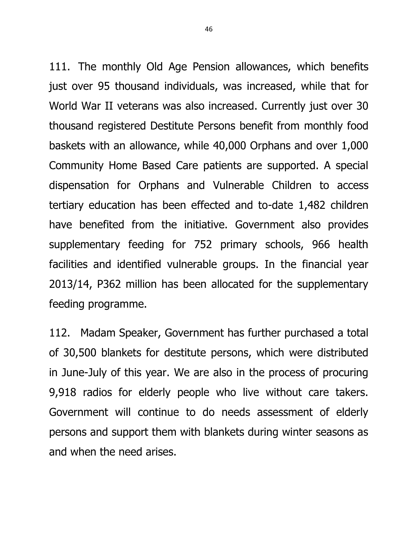111. The monthly Old Age Pension allowances, which benefits just over 95 thousand individuals, was increased, while that for World War II veterans was also increased. Currently just over 30 thousand registered Destitute Persons benefit from monthly food baskets with an allowance, while 40,000 Orphans and over 1,000 Community Home Based Care patients are supported. A special dispensation for Orphans and Vulnerable Children to access tertiary education has been effected and to-date 1,482 children have benefited from the initiative. Government also provides supplementary feeding for 752 primary schools, 966 health facilities and identified vulnerable groups. In the financial year 2013/14, P362 million has been allocated for the supplementary feeding programme.

112. Madam Speaker, Government has further purchased a total of 30,500 blankets for destitute persons, which were distributed in June-July of this year. We are also in the process of procuring 9,918 radios for elderly people who live without care takers. Government will continue to do needs assessment of elderly persons and support them with blankets during winter seasons as and when the need arises.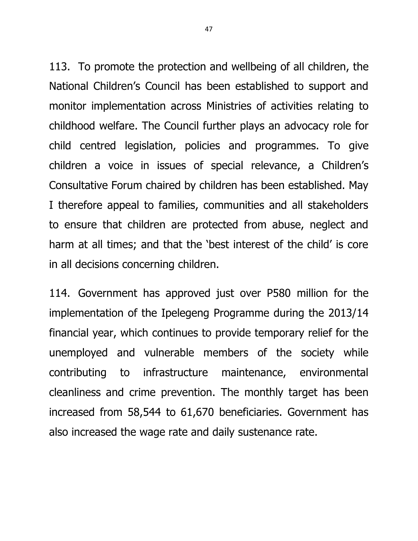113. To promote the protection and wellbeing of all children, the National Children's Council has been established to support and monitor implementation across Ministries of activities relating to childhood welfare. The Council further plays an advocacy role for child centred legislation, policies and programmes. To give children a voice in issues of special relevance, a Children's Consultative Forum chaired by children has been established. May I therefore appeal to families, communities and all stakeholders to ensure that children are protected from abuse, neglect and harm at all times; and that the 'best interest of the child' is core in all decisions concerning children.

114. Government has approved just over P580 million for the implementation of the Ipelegeng Programme during the 2013/14 financial year, which continues to provide temporary relief for the unemployed and vulnerable members of the society while contributing to infrastructure maintenance, environmental cleanliness and crime prevention. The monthly target has been increased from 58,544 to 61,670 beneficiaries. Government has also increased the wage rate and daily sustenance rate.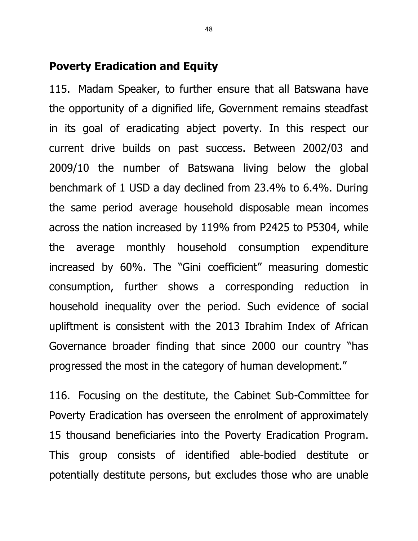# **Poverty Eradication and Equity**

115. Madam Speaker, to further ensure that all Batswana have the opportunity of a dignified life, Government remains steadfast in its goal of eradicating abject poverty. In this respect our current drive builds on past success. Between 2002/03 and 2009/10 the number of Batswana living below the global benchmark of 1 USD a day declined from 23.4% to 6.4%. During the same period average household disposable mean incomes across the nation increased by 119% from P2425 to P5304, while the average monthly household consumption expenditure increased by 60%. The "Gini coefficient" measuring domestic consumption, further shows a corresponding reduction in household inequality over the period. Such evidence of social upliftment is consistent with the 2013 Ibrahim Index of African Governance broader finding that since 2000 our country "has progressed the most in the category of human development."

116. Focusing on the destitute, the Cabinet Sub-Committee for Poverty Eradication has overseen the enrolment of approximately 15 thousand beneficiaries into the Poverty Eradication Program. This group consists of identified able-bodied destitute or potentially destitute persons, but excludes those who are unable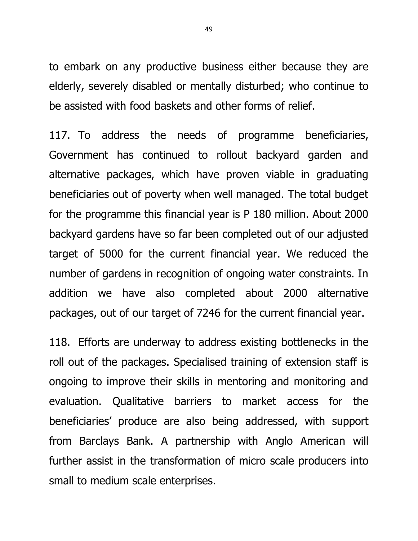to embark on any productive business either because they are elderly, severely disabled or mentally disturbed; who continue to be assisted with food baskets and other forms of relief.

117. To address the needs of programme beneficiaries, Government has continued to rollout backyard garden and alternative packages, which have proven viable in graduating beneficiaries out of poverty when well managed. The total budget for the programme this financial year is P 180 million. About 2000 backyard gardens have so far been completed out of our adjusted target of 5000 for the current financial year. We reduced the number of gardens in recognition of ongoing water constraints. In addition we have also completed about 2000 alternative packages, out of our target of 7246 for the current financial year.

118. Efforts are underway to address existing bottlenecks in the roll out of the packages. Specialised training of extension staff is ongoing to improve their skills in mentoring and monitoring and evaluation. Qualitative barriers to market access for the beneficiaries' produce are also being addressed, with support from Barclays Bank. A partnership with Anglo American will further assist in the transformation of micro scale producers into small to medium scale enterprises.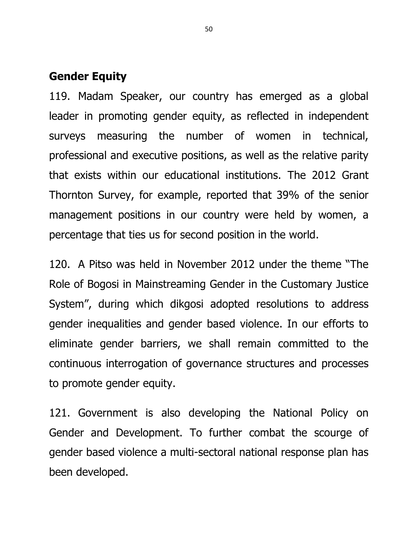### **Gender Equity**

119. Madam Speaker, our country has emerged as a global leader in promoting gender equity, as reflected in independent surveys measuring the number of women in technical, professional and executive positions, as well as the relative parity that exists within our educational institutions. The 2012 Grant Thornton Survey, for example, reported that 39% of the senior management positions in our country were held by women, a percentage that ties us for second position in the world.

120. A Pitso was held in November 2012 under the theme "The Role of Bogosi in Mainstreaming Gender in the Customary Justice System", during which dikgosi adopted resolutions to address gender inequalities and gender based violence. In our efforts to eliminate gender barriers, we shall remain committed to the continuous interrogation of governance structures and processes to promote gender equity.

121. Government is also developing the National Policy on Gender and Development. To further combat the scourge of gender based violence a multi-sectoral national response plan has been developed.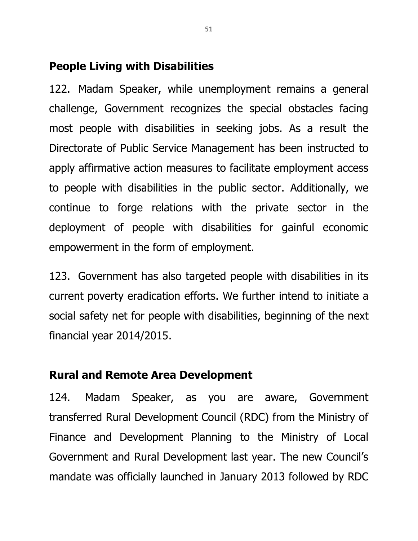# **People Living with Disabilities**

122. Madam Speaker, while unemployment remains a general challenge, Government recognizes the special obstacles facing most people with disabilities in seeking jobs. As a result the Directorate of Public Service Management has been instructed to apply affirmative action measures to facilitate employment access to people with disabilities in the public sector. Additionally, we continue to forge relations with the private sector in the deployment of people with disabilities for gainful economic empowerment in the form of employment.

123. Government has also targeted people with disabilities in its current poverty eradication efforts. We further intend to initiate a social safety net for people with disabilities, beginning of the next financial year 2014/2015.

# **Rural and Remote Area Development**

124. Madam Speaker, as you are aware, Government transferred Rural Development Council (RDC) from the Ministry of Finance and Development Planning to the Ministry of Local Government and Rural Development last year. The new Council's mandate was officially launched in January 2013 followed by RDC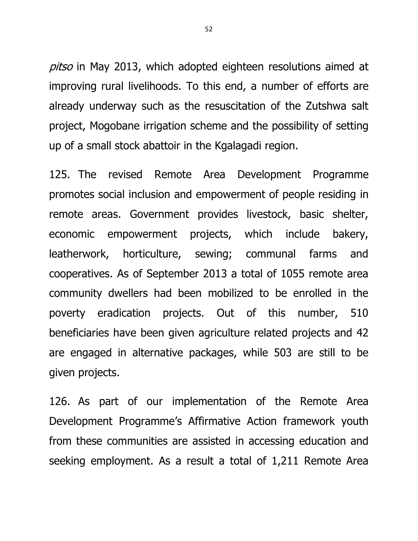pitso in May 2013, which adopted eighteen resolutions aimed at improving rural livelihoods. To this end, a number of efforts are already underway such as the resuscitation of the Zutshwa salt project, Mogobane irrigation scheme and the possibility of setting up of a small stock abattoir in the Kgalagadi region.

125. The revised Remote Area Development Programme promotes social inclusion and empowerment of people residing in remote areas. Government provides livestock, basic shelter, economic empowerment projects, which include bakery, leatherwork, horticulture, sewing; communal farms and cooperatives. As of September 2013 a total of 1055 remote area community dwellers had been mobilized to be enrolled in the poverty eradication projects. Out of this number, 510 beneficiaries have been given agriculture related projects and 42 are engaged in alternative packages, while 503 are still to be given projects.

126. As part of our implementation of the Remote Area Development Programme's Affirmative Action framework youth from these communities are assisted in accessing education and seeking employment. As a result a total of 1,211 Remote Area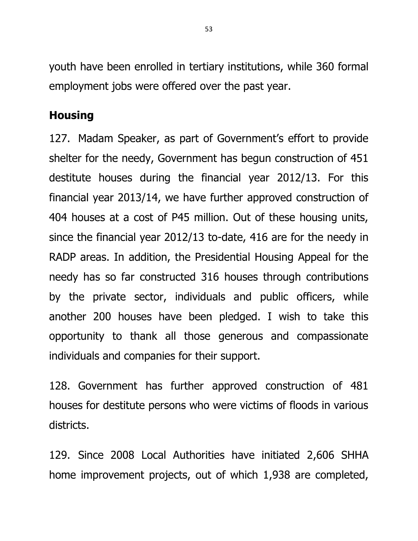youth have been enrolled in tertiary institutions, while 360 formal employment jobs were offered over the past year.

# **Housing**

127. Madam Speaker, as part of Government's effort to provide shelter for the needy, Government has begun construction of 451 destitute houses during the financial year 2012/13. For this financial year 2013/14, we have further approved construction of 404 houses at a cost of P45 million. Out of these housing units, since the financial year 2012/13 to-date, 416 are for the needy in RADP areas. In addition, the Presidential Housing Appeal for the needy has so far constructed 316 houses through contributions by the private sector, individuals and public officers, while another 200 houses have been pledged. I wish to take this opportunity to thank all those generous and compassionate individuals and companies for their support.

128. Government has further approved construction of 481 houses for destitute persons who were victims of floods in various districts.

129. Since 2008 Local Authorities have initiated 2,606 SHHA home improvement projects, out of which 1,938 are completed,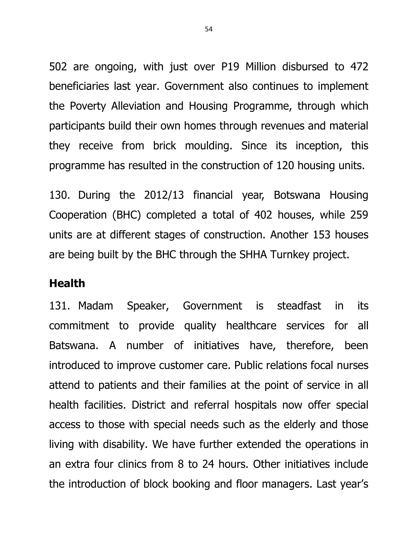502 are ongoing, with just over P19 Million disbursed to 472 beneficiaries last year. Government also continues to implement the Poverty Alleviation and Housing Programme, through which participants build their own homes through revenues and material they receive from brick moulding. Since its inception, this programme has resulted in the construction of 120 housing units.

130. During the 2012/13 financial year, Botswana Housing Cooperation (BHC) completed a total of 402 houses, while 259 units are at different stages of construction. Another 153 houses are being built by the BHC through the SHHA Turnkey project.

# **Health**

131. Madam Speaker, Government is steadfast in its commitment to provide quality healthcare services for all Batswana. A number of initiatives have, therefore, been introduced to improve customer care. Public relations focal nurses attend to patients and their families at the point of service in all health facilities. District and referral hospitals now offer special access to those with special needs such as the elderly and those living with disability. We have further extended the operations in an extra four clinics from 8 to 24 hours. Other initiatives include the introduction of block booking and floor managers. Last year's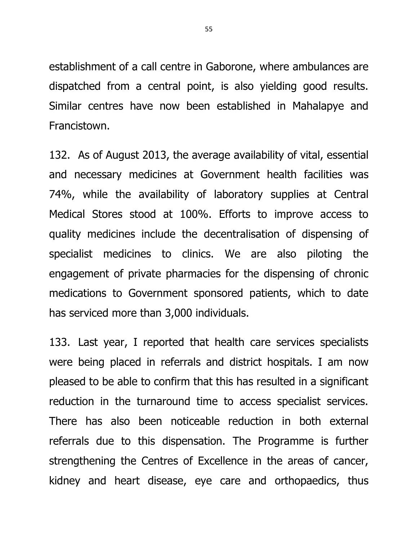establishment of a call centre in Gaborone, where ambulances are dispatched from a central point, is also yielding good results. Similar centres have now been established in Mahalapye and Francistown.

132. As of August 2013, the average availability of vital, essential and necessary medicines at Government health facilities was 74%, while the availability of laboratory supplies at Central Medical Stores stood at 100%. Efforts to improve access to quality medicines include the decentralisation of dispensing of specialist medicines to clinics. We are also piloting the engagement of private pharmacies for the dispensing of chronic medications to Government sponsored patients, which to date has serviced more than 3,000 individuals.

133. Last year, I reported that health care services specialists were being placed in referrals and district hospitals. I am now pleased to be able to confirm that this has resulted in a significant reduction in the turnaround time to access specialist services. There has also been noticeable reduction in both external referrals due to this dispensation. The Programme is further strengthening the Centres of Excellence in the areas of cancer, kidney and heart disease, eye care and orthopaedics, thus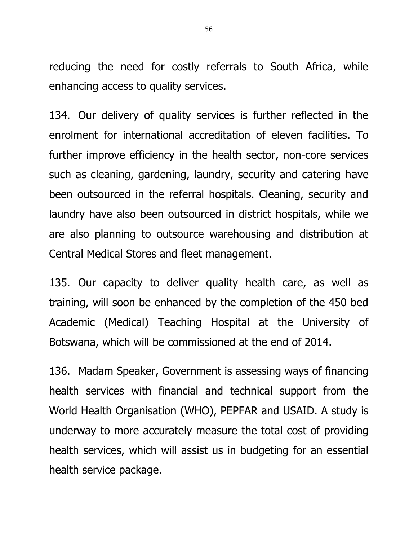reducing the need for costly referrals to South Africa, while enhancing access to quality services.

134. Our delivery of quality services is further reflected in the enrolment for international accreditation of eleven facilities. To further improve efficiency in the health sector, non-core services such as cleaning, gardening, laundry, security and catering have been outsourced in the referral hospitals. Cleaning, security and laundry have also been outsourced in district hospitals, while we are also planning to outsource warehousing and distribution at Central Medical Stores and fleet management.

135. Our capacity to deliver quality health care, as well as training, will soon be enhanced by the completion of the 450 bed Academic (Medical) Teaching Hospital at the University of Botswana, which will be commissioned at the end of 2014.

136. Madam Speaker, Government is assessing ways of financing health services with financial and technical support from the World Health Organisation (WHO), PEPFAR and USAID. A study is underway to more accurately measure the total cost of providing health services, which will assist us in budgeting for an essential health service package.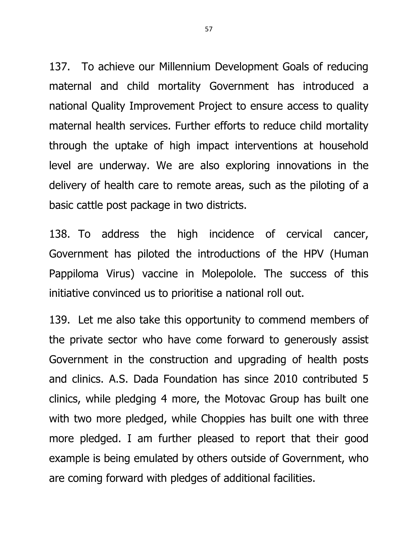137. To achieve our Millennium Development Goals of reducing maternal and child mortality Government has introduced a national Quality Improvement Project to ensure access to quality maternal health services. Further efforts to reduce child mortality through the uptake of high impact interventions at household level are underway. We are also exploring innovations in the delivery of health care to remote areas, such as the piloting of a basic cattle post package in two districts.

138. To address the high incidence of cervical cancer, Government has piloted the introductions of the HPV (Human Pappiloma Virus) vaccine in Molepolole. The success of this initiative convinced us to prioritise a national roll out.

139. Let me also take this opportunity to commend members of the private sector who have come forward to generously assist Government in the construction and upgrading of health posts and clinics. A.S. Dada Foundation has since 2010 contributed 5 clinics, while pledging 4 more, the Motovac Group has built one with two more pledged, while Choppies has built one with three more pledged. I am further pleased to report that their good example is being emulated by others outside of Government, who are coming forward with pledges of additional facilities.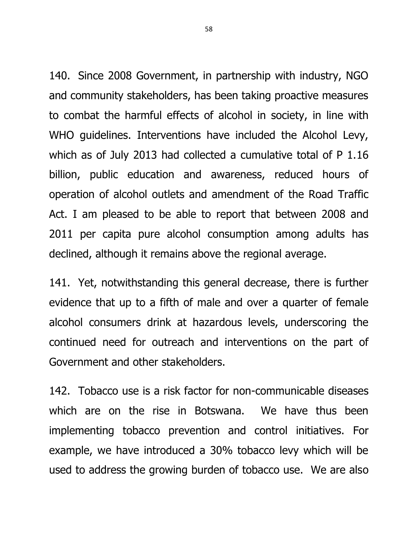140. Since 2008 Government, in partnership with industry, NGO and community stakeholders, has been taking proactive measures to combat the harmful effects of alcohol in society, in line with WHO guidelines. Interventions have included the Alcohol Levy, which as of July 2013 had collected a cumulative total of P 1.16 billion, public education and awareness, reduced hours of operation of alcohol outlets and amendment of the Road Traffic Act. I am pleased to be able to report that between 2008 and 2011 per capita pure alcohol consumption among adults has declined, although it remains above the regional average.

141. Yet, notwithstanding this general decrease, there is further evidence that up to a fifth of male and over a quarter of female alcohol consumers drink at hazardous levels, underscoring the continued need for outreach and interventions on the part of Government and other stakeholders.

142. Tobacco use is a risk factor for non-communicable diseases which are on the rise in Botswana. We have thus been implementing tobacco prevention and control initiatives. For example, we have introduced a 30% tobacco levy which will be used to address the growing burden of tobacco use. We are also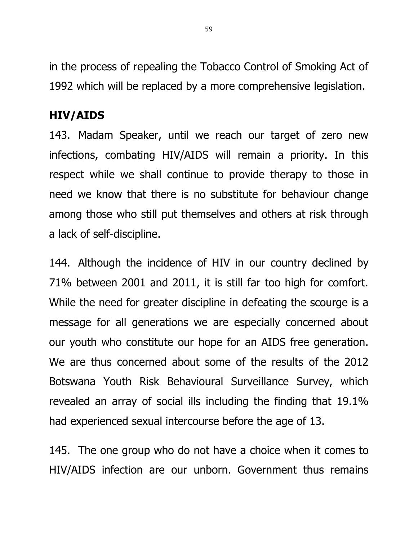in the process of repealing the Tobacco Control of Smoking Act of 1992 which will be replaced by a more comprehensive legislation.

# **HIV/AIDS**

143. Madam Speaker, until we reach our target of zero new infections, combating HIV/AIDS will remain a priority. In this respect while we shall continue to provide therapy to those in need we know that there is no substitute for behaviour change among those who still put themselves and others at risk through a lack of self-discipline.

144. Although the incidence of HIV in our country declined by 71% between 2001 and 2011, it is still far too high for comfort. While the need for greater discipline in defeating the scourge is a message for all generations we are especially concerned about our youth who constitute our hope for an AIDS free generation. We are thus concerned about some of the results of the 2012 Botswana Youth Risk Behavioural Surveillance Survey, which revealed an array of social ills including the finding that 19.1% had experienced sexual intercourse before the age of 13.

145. The one group who do not have a choice when it comes to HIV/AIDS infection are our unborn. Government thus remains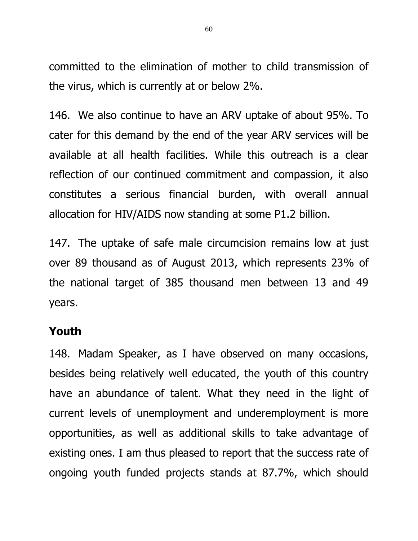committed to the elimination of mother to child transmission of the virus, which is currently at or below 2%.

146. We also continue to have an ARV uptake of about 95%. To cater for this demand by the end of the year ARV services will be available at all health facilities. While this outreach is a clear reflection of our continued commitment and compassion, it also constitutes a serious financial burden, with overall annual allocation for HIV/AIDS now standing at some P1.2 billion.

147. The uptake of safe male circumcision remains low at just over 89 thousand as of August 2013, which represents 23% of the national target of 385 thousand men between 13 and 49 years.

#### **Youth**

148. Madam Speaker, as I have observed on many occasions, besides being relatively well educated, the youth of this country have an abundance of talent. What they need in the light of current levels of unemployment and underemployment is more opportunities, as well as additional skills to take advantage of existing ones. I am thus pleased to report that the success rate of ongoing youth funded projects stands at 87.7%, which should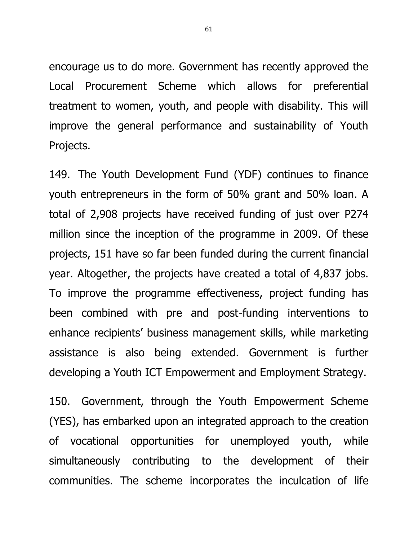encourage us to do more. Government has recently approved the Local Procurement Scheme which allows for preferential treatment to women, youth, and people with disability. This will improve the general performance and sustainability of Youth Projects.

149. The Youth Development Fund (YDF) continues to finance youth entrepreneurs in the form of 50% grant and 50% loan. A total of 2,908 projects have received funding of just over P274 million since the inception of the programme in 2009. Of these projects, 151 have so far been funded during the current financial year. Altogether, the projects have created a total of 4,837 jobs. To improve the programme effectiveness, project funding has been combined with pre and post-funding interventions to enhance recipients' business management skills, while marketing assistance is also being extended. Government is further developing a Youth ICT Empowerment and Employment Strategy.

150. Government, through the Youth Empowerment Scheme (YES), has embarked upon an integrated approach to the creation of vocational opportunities for unemployed youth, while simultaneously contributing to the development of their communities. The scheme incorporates the inculcation of life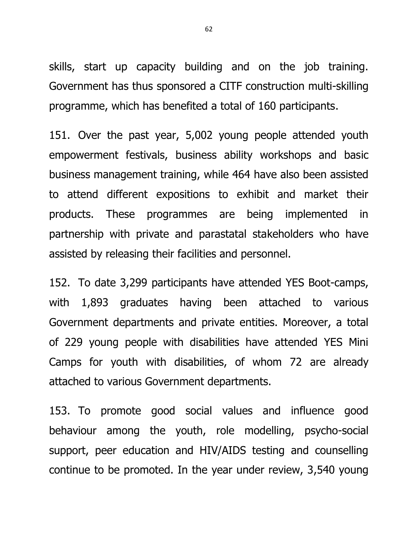skills, start up capacity building and on the job training. Government has thus sponsored a CITF construction multi-skilling programme, which has benefited a total of 160 participants.

151. Over the past year, 5,002 young people attended youth empowerment festivals, business ability workshops and basic business management training, while 464 have also been assisted to attend different expositions to exhibit and market their products. These programmes are being implemented in partnership with private and parastatal stakeholders who have assisted by releasing their facilities and personnel.

152. To date 3,299 participants have attended YES Boot-camps, with 1,893 graduates having been attached to various Government departments and private entities. Moreover, a total of 229 young people with disabilities have attended YES Mini Camps for youth with disabilities, of whom 72 are already attached to various Government departments.

153. To promote good social values and influence good behaviour among the youth, role modelling, psycho-social support, peer education and HIV/AIDS testing and counselling continue to be promoted. In the year under review, 3,540 young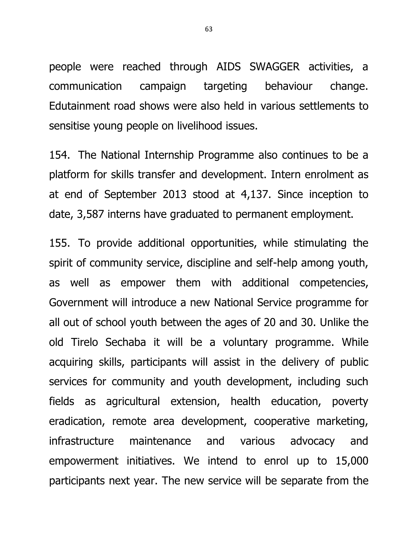people were reached through AIDS SWAGGER activities, a communication campaign targeting behaviour change. Edutainment road shows were also held in various settlements to sensitise young people on livelihood issues.

154. The National Internship Programme also continues to be a platform for skills transfer and development. Intern enrolment as at end of September 2013 stood at 4,137. Since inception to date, 3,587 interns have graduated to permanent employment.

155. To provide additional opportunities, while stimulating the spirit of community service, discipline and self-help among youth, as well as empower them with additional competencies, Government will introduce a new National Service programme for all out of school youth between the ages of 20 and 30. Unlike the old Tirelo Sechaba it will be a voluntary programme. While acquiring skills, participants will assist in the delivery of public services for community and youth development, including such fields as agricultural extension, health education, poverty eradication, remote area development, cooperative marketing, infrastructure maintenance and various advocacy and empowerment initiatives. We intend to enrol up to 15,000 participants next year. The new service will be separate from the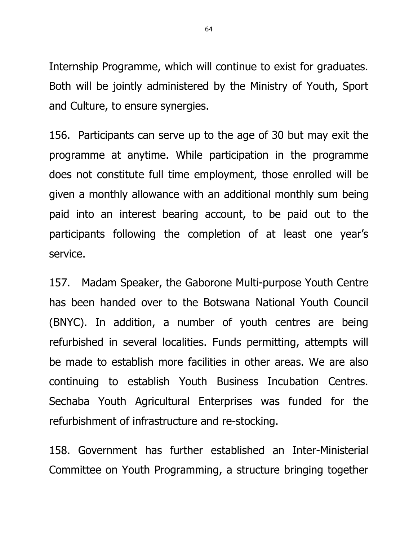Internship Programme, which will continue to exist for graduates. Both will be jointly administered by the Ministry of Youth, Sport and Culture, to ensure synergies.

156. Participants can serve up to the age of 30 but may exit the programme at anytime. While participation in the programme does not constitute full time employment, those enrolled will be given a monthly allowance with an additional monthly sum being paid into an interest bearing account, to be paid out to the participants following the completion of at least one year's service.

157. Madam Speaker, the Gaborone Multi-purpose Youth Centre has been handed over to the Botswana National Youth Council (BNYC). In addition, a number of youth centres are being refurbished in several localities. Funds permitting, attempts will be made to establish more facilities in other areas. We are also continuing to establish Youth Business Incubation Centres. Sechaba Youth Agricultural Enterprises was funded for the refurbishment of infrastructure and re-stocking.

158. Government has further established an Inter-Ministerial Committee on Youth Programming, a structure bringing together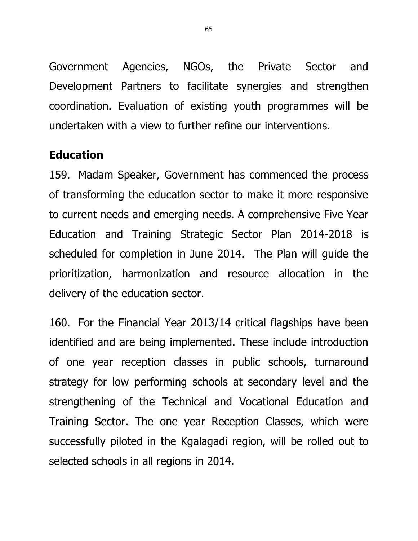Government Agencies, NGOs, the Private Sector and Development Partners to facilitate synergies and strengthen coordination. Evaluation of existing youth programmes will be undertaken with a view to further refine our interventions.

# **Education**

159. Madam Speaker, Government has commenced the process of transforming the education sector to make it more responsive to current needs and emerging needs. A comprehensive Five Year Education and Training Strategic Sector Plan 2014-2018 is scheduled for completion in June 2014. The Plan will guide the prioritization, harmonization and resource allocation in the delivery of the education sector.

160. For the Financial Year 2013/14 critical flagships have been identified and are being implemented. These include introduction of one year reception classes in public schools, turnaround strategy for low performing schools at secondary level and the strengthening of the Technical and Vocational Education and Training Sector. The one year Reception Classes, which were successfully piloted in the Kgalagadi region, will be rolled out to selected schools in all regions in 2014.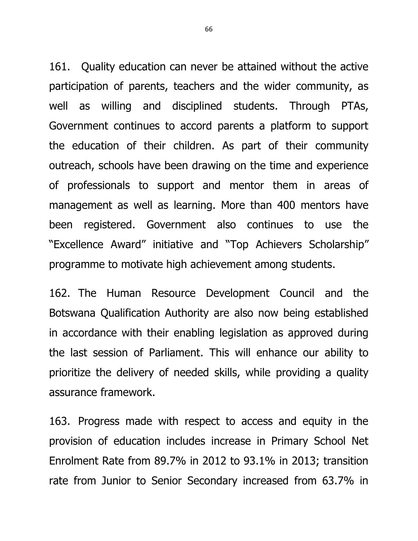161. Quality education can never be attained without the active participation of parents, teachers and the wider community, as well as willing and disciplined students. Through PTAs, Government continues to accord parents a platform to support the education of their children. As part of their community outreach, schools have been drawing on the time and experience of professionals to support and mentor them in areas of management as well as learning. More than 400 mentors have been registered. Government also continues to use the "Excellence Award" initiative and "Top Achievers Scholarship" programme to motivate high achievement among students.

162. The Human Resource Development Council and the Botswana Qualification Authority are also now being established in accordance with their enabling legislation as approved during the last session of Parliament. This will enhance our ability to prioritize the delivery of needed skills, while providing a quality assurance framework.

163. Progress made with respect to access and equity in the provision of education includes increase in Primary School Net Enrolment Rate from 89.7% in 2012 to 93.1% in 2013; transition rate from Junior to Senior Secondary increased from 63.7% in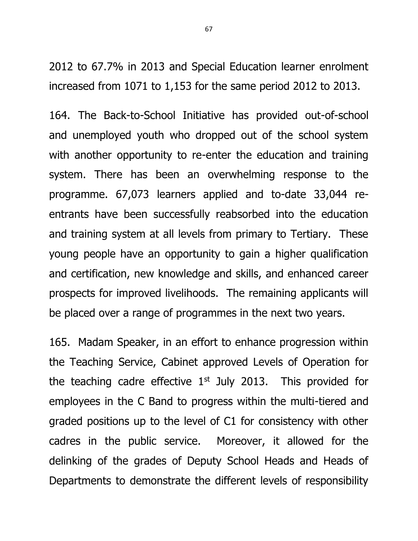2012 to 67.7% in 2013 and Special Education learner enrolment increased from 1071 to 1,153 for the same period 2012 to 2013.

164. The Back-to-School Initiative has provided out-of-school and unemployed youth who dropped out of the school system with another opportunity to re-enter the education and training system. There has been an overwhelming response to the programme. 67,073 learners applied and to-date 33,044 reentrants have been successfully reabsorbed into the education and training system at all levels from primary to Tertiary. These young people have an opportunity to gain a higher qualification and certification, new knowledge and skills, and enhanced career prospects for improved livelihoods. The remaining applicants will be placed over a range of programmes in the next two years.

165. Madam Speaker, in an effort to enhance progression within the Teaching Service, Cabinet approved Levels of Operation for the teaching cadre effective  $1<sup>st</sup>$  July 2013. This provided for employees in the C Band to progress within the multi-tiered and graded positions up to the level of C1 for consistency with other cadres in the public service. Moreover, it allowed for the delinking of the grades of Deputy School Heads and Heads of Departments to demonstrate the different levels of responsibility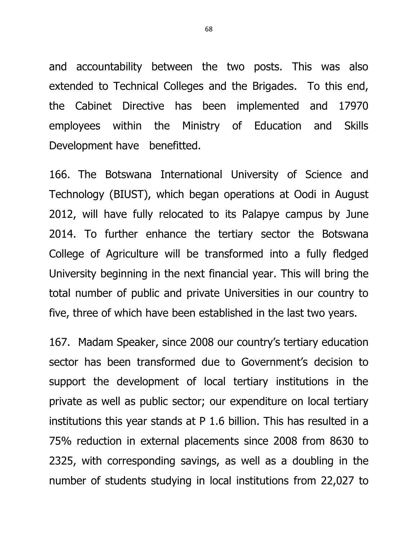and accountability between the two posts. This was also extended to Technical Colleges and the Brigades. To this end, the Cabinet Directive has been implemented and 17970 employees within the Ministry of Education and Skills Development have benefitted.

166. The Botswana International University of Science and Technology (BIUST), which began operations at Oodi in August 2012, will have fully relocated to its Palapye campus by June 2014. To further enhance the tertiary sector the Botswana College of Agriculture will be transformed into a fully fledged University beginning in the next financial year. This will bring the total number of public and private Universities in our country to five, three of which have been established in the last two years.

167. Madam Speaker, since 2008 our country's tertiary education sector has been transformed due to Government's decision to support the development of local tertiary institutions in the private as well as public sector; our expenditure on local tertiary institutions this year stands at P 1.6 billion. This has resulted in a 75% reduction in external placements since 2008 from 8630 to 2325, with corresponding savings, as well as a doubling in the number of students studying in local institutions from 22,027 to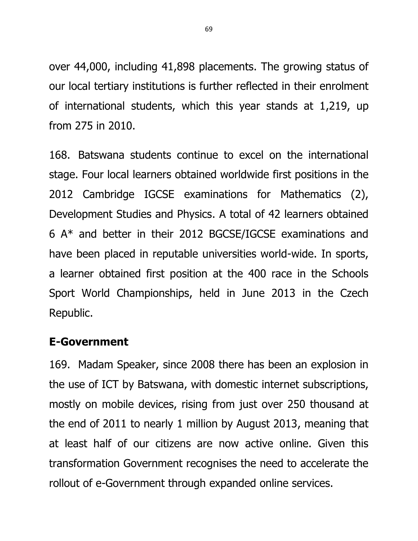over 44,000, including 41,898 placements. The growing status of our local tertiary institutions is further reflected in their enrolment of international students, which this year stands at 1,219, up from 275 in 2010.

168. Batswana students continue to excel on the international stage. Four local learners obtained worldwide first positions in the 2012 Cambridge IGCSE examinations for Mathematics (2), Development Studies and Physics. A total of 42 learners obtained 6 A\* and better in their 2012 BGCSE/IGCSE examinations and have been placed in reputable universities world-wide. In sports, a learner obtained first position at the 400 race in the Schools Sport World Championships, held in June 2013 in the Czech Republic.

# **E-Government**

169. Madam Speaker, since 2008 there has been an explosion in the use of ICT by Batswana, with domestic internet subscriptions, mostly on mobile devices, rising from just over 250 thousand at the end of 2011 to nearly 1 million by August 2013, meaning that at least half of our citizens are now active online. Given this transformation Government recognises the need to accelerate the rollout of e-Government through expanded online services.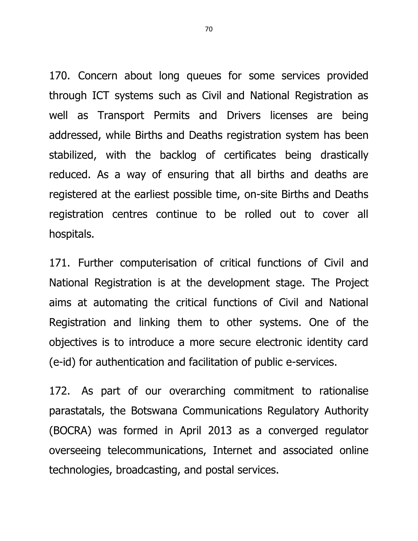170. Concern about long queues for some services provided through ICT systems such as Civil and National Registration as well as Transport Permits and Drivers licenses are being addressed, while Births and Deaths registration system has been stabilized, with the backlog of certificates being drastically reduced. As a way of ensuring that all births and deaths are registered at the earliest possible time, on-site Births and Deaths registration centres continue to be rolled out to cover all hospitals.

171. Further computerisation of critical functions of Civil and National Registration is at the development stage. The Project aims at automating the critical functions of Civil and National Registration and linking them to other systems. One of the objectives is to introduce a more secure electronic identity card (e-id) for authentication and facilitation of public e-services.

172. As part of our overarching commitment to rationalise parastatals, the Botswana Communications Regulatory Authority (BOCRA) was formed in April 2013 as a converged regulator overseeing telecommunications, Internet and associated online technologies, broadcasting, and postal services.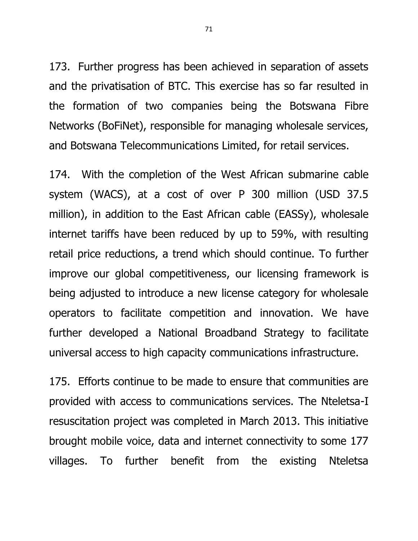173. Further progress has been achieved in separation of assets and the privatisation of BTC. This exercise has so far resulted in the formation of two companies being the Botswana Fibre Networks (BoFiNet), responsible for managing wholesale services, and Botswana Telecommunications Limited, for retail services.

174. With the completion of the West African submarine cable system (WACS), at a cost of over P 300 million (USD 37.5 million), in addition to the East African cable (EASSy), wholesale internet tariffs have been reduced by up to 59%, with resulting retail price reductions, a trend which should continue. To further improve our global competitiveness, our licensing framework is being adjusted to introduce a new license category for wholesale operators to facilitate competition and innovation. We have further developed a National Broadband Strategy to facilitate universal access to high capacity communications infrastructure.

175. Efforts continue to be made to ensure that communities are provided with access to communications services. The Nteletsa-I resuscitation project was completed in March 2013. This initiative brought mobile voice, data and internet connectivity to some 177 villages. To further benefit from the existing Nteletsa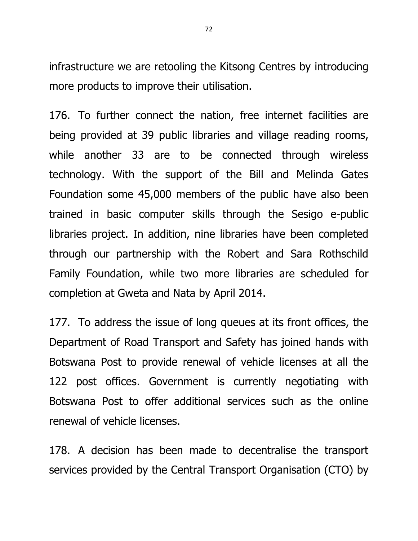infrastructure we are retooling the Kitsong Centres by introducing more products to improve their utilisation.

176. To further connect the nation, free internet facilities are being provided at 39 public libraries and village reading rooms, while another 33 are to be connected through wireless technology. With the support of the Bill and Melinda Gates Foundation some 45,000 members of the public have also been trained in basic computer skills through the Sesigo e-public libraries project. In addition, nine libraries have been completed through our partnership with the Robert and Sara Rothschild Family Foundation, while two more libraries are scheduled for completion at Gweta and Nata by April 2014.

177. To address the issue of long queues at its front offices, the Department of Road Transport and Safety has joined hands with Botswana Post to provide renewal of vehicle licenses at all the 122 post offices. Government is currently negotiating with Botswana Post to offer additional services such as the online renewal of vehicle licenses.

178. A decision has been made to decentralise the transport services provided by the Central Transport Organisation (CTO) by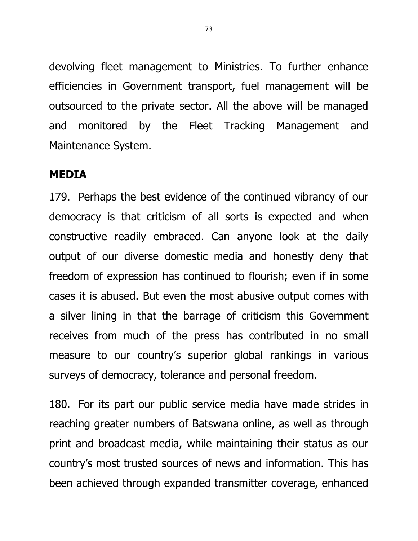devolving fleet management to Ministries. To further enhance efficiencies in Government transport, fuel management will be outsourced to the private sector. All the above will be managed and monitored by the Fleet Tracking Management and Maintenance System.

#### **MEDIA**

179. Perhaps the best evidence of the continued vibrancy of our democracy is that criticism of all sorts is expected and when constructive readily embraced. Can anyone look at the daily output of our diverse domestic media and honestly deny that freedom of expression has continued to flourish; even if in some cases it is abused. But even the most abusive output comes with a silver lining in that the barrage of criticism this Government receives from much of the press has contributed in no small measure to our country's superior global rankings in various surveys of democracy, tolerance and personal freedom.

180. For its part our public service media have made strides in reaching greater numbers of Batswana online, as well as through print and broadcast media, while maintaining their status as our country's most trusted sources of news and information. This has been achieved through expanded transmitter coverage, enhanced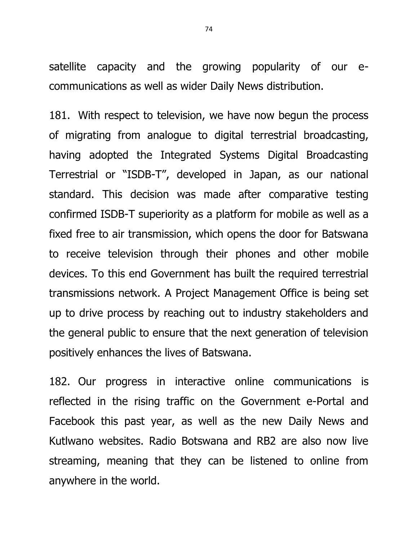satellite capacity and the growing popularity of our ecommunications as well as wider Daily News distribution.

181. With respect to television, we have now begun the process of migrating from analogue to digital terrestrial broadcasting, having adopted the Integrated Systems Digital Broadcasting Terrestrial or "ISDB-T", developed in Japan, as our national standard. This decision was made after comparative testing confirmed ISDB-T superiority as a platform for mobile as well as a fixed free to air transmission, which opens the door for Batswana to receive television through their phones and other mobile devices. To this end Government has built the required terrestrial transmissions network. A Project Management Office is being set up to drive process by reaching out to industry stakeholders and the general public to ensure that the next generation of television positively enhances the lives of Batswana.

182. Our progress in interactive online communications is reflected in the rising traffic on the Government e-Portal and Facebook this past year, as well as the new Daily News and Kutlwano websites. Radio Botswana and RB2 are also now live streaming, meaning that they can be listened to online from anywhere in the world.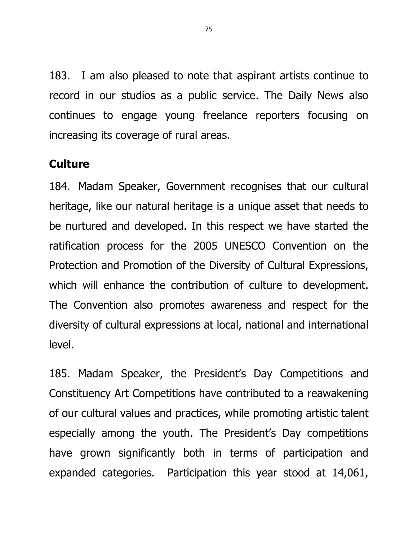183. I am also pleased to note that aspirant artists continue to record in our studios as a public service. The Daily News also continues to engage young freelance reporters focusing on increasing its coverage of rural areas.

## **Culture**

184. Madam Speaker, Government recognises that our cultural heritage, like our natural heritage is a unique asset that needs to be nurtured and developed. In this respect we have started the ratification process for the 2005 UNESCO Convention on the Protection and Promotion of the Diversity of Cultural Expressions, which will enhance the contribution of culture to development. The Convention also promotes awareness and respect for the diversity of cultural expressions at local, national and international level.

185. Madam Speaker, the President's Day Competitions and Constituency Art Competitions have contributed to a reawakening of our cultural values and practices, while promoting artistic talent especially among the youth. The President's Day competitions have grown significantly both in terms of participation and expanded categories. Participation this year stood at 14,061,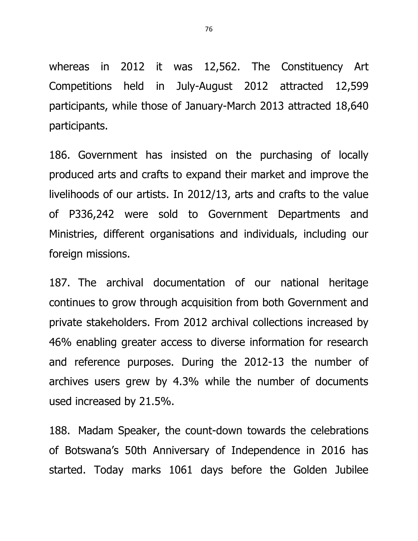whereas in 2012 it was 12,562. The Constituency Art Competitions held in July-August 2012 attracted 12,599 participants, while those of January-March 2013 attracted 18,640 participants.

186. Government has insisted on the purchasing of locally produced arts and crafts to expand their market and improve the livelihoods of our artists. In 2012/13, arts and crafts to the value of P336,242 were sold to Government Departments and Ministries, different organisations and individuals, including our foreign missions.

187. The archival documentation of our national heritage continues to grow through acquisition from both Government and private stakeholders. From 2012 archival collections increased by 46% enabling greater access to diverse information for research and reference purposes. During the 2012-13 the number of archives users grew by 4.3% while the number of documents used increased by 21.5%.

188. Madam Speaker, the count-down towards the celebrations of Botswana's 50th Anniversary of Independence in 2016 has started. Today marks 1061 days before the Golden Jubilee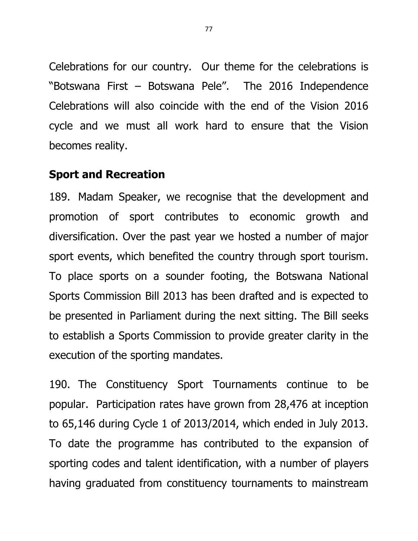Celebrations for our country. Our theme for the celebrations is "Botswana First – Botswana Pele". The 2016 Independence Celebrations will also coincide with the end of the Vision 2016 cycle and we must all work hard to ensure that the Vision becomes reality.

### **Sport and Recreation**

189. Madam Speaker, we recognise that the development and promotion of sport contributes to economic growth and diversification. Over the past year we hosted a number of major sport events, which benefited the country through sport tourism. To place sports on a sounder footing, the Botswana National Sports Commission Bill 2013 has been drafted and is expected to be presented in Parliament during the next sitting. The Bill seeks to establish a Sports Commission to provide greater clarity in the execution of the sporting mandates.

190. The Constituency Sport Tournaments continue to be popular. Participation rates have grown from 28,476 at inception to 65,146 during Cycle 1 of 2013/2014, which ended in July 2013. To date the programme has contributed to the expansion of sporting codes and talent identification, with a number of players having graduated from constituency tournaments to mainstream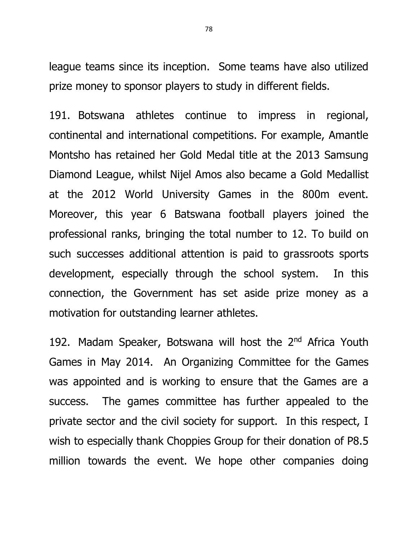league teams since its inception. Some teams have also utilized prize money to sponsor players to study in different fields.

191. Botswana athletes continue to impress in regional, continental and international competitions. For example, Amantle Montsho has retained her Gold Medal title at the 2013 Samsung Diamond League, whilst Nijel Amos also became a Gold Medallist at the 2012 World University Games in the 800m event. Moreover, this year 6 Batswana football players joined the professional ranks, bringing the total number to 12. To build on such successes additional attention is paid to grassroots sports development, especially through the school system. In this connection, the Government has set aside prize money as a motivation for outstanding learner athletes.

192. Madam Speaker, Botswana will host the 2<sup>nd</sup> Africa Youth Games in May 2014. An Organizing Committee for the Games was appointed and is working to ensure that the Games are a success. The games committee has further appealed to the private sector and the civil society for support. In this respect, I wish to especially thank Choppies Group for their donation of P8.5 million towards the event. We hope other companies doing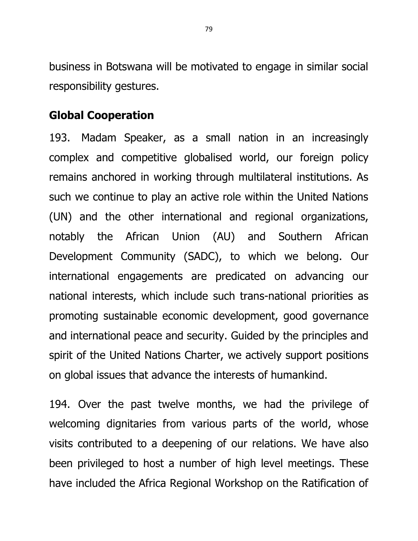business in Botswana will be motivated to engage in similar social responsibility gestures.

## **Global Cooperation**

193. Madam Speaker, as a small nation in an increasingly complex and competitive globalised world, our foreign policy remains anchored in working through multilateral institutions. As such we continue to play an active role within the United Nations (UN) and the other international and regional organizations, notably the African Union (AU) and Southern African Development Community (SADC), to which we belong. Our international engagements are predicated on advancing our national interests, which include such trans-national priorities as promoting sustainable economic development, good governance and international peace and security. Guided by the principles and spirit of the United Nations Charter, we actively support positions on global issues that advance the interests of humankind.

194. Over the past twelve months, we had the privilege of welcoming dignitaries from various parts of the world, whose visits contributed to a deepening of our relations. We have also been privileged to host a number of high level meetings. These have included the Africa Regional Workshop on the Ratification of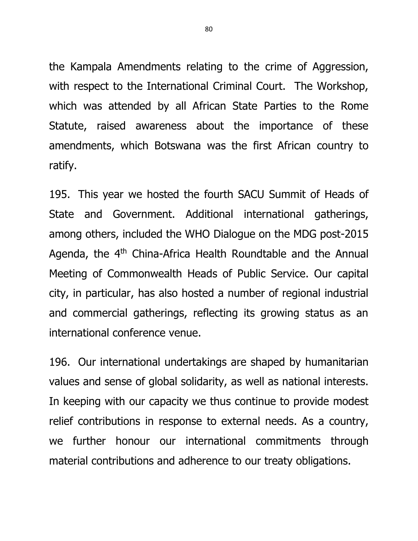the Kampala Amendments relating to the crime of Aggression, with respect to the International Criminal Court. The Workshop, which was attended by all African State Parties to the Rome Statute, raised awareness about the importance of these amendments, which Botswana was the first African country to ratify.

195. This year we hosted the fourth SACU Summit of Heads of State and Government. Additional international gatherings, among others, included the WHO Dialogue on the MDG post-2015 Agenda, the  $4<sup>th</sup>$  China-Africa Health Roundtable and the Annual Meeting of Commonwealth Heads of Public Service. Our capital city, in particular, has also hosted a number of regional industrial and commercial gatherings, reflecting its growing status as an international conference venue.

196. Our international undertakings are shaped by humanitarian values and sense of global solidarity, as well as national interests. In keeping with our capacity we thus continue to provide modest relief contributions in response to external needs. As a country, we further honour our international commitments through material contributions and adherence to our treaty obligations.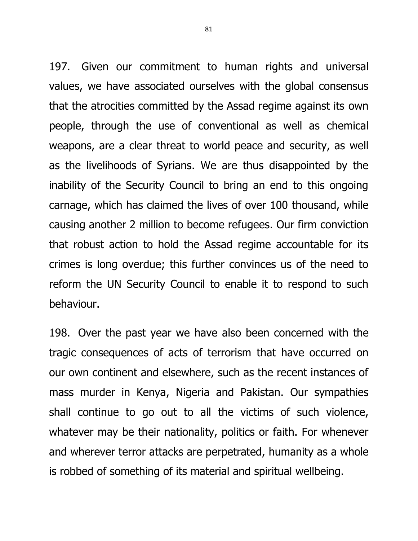197. Given our commitment to human rights and universal values, we have associated ourselves with the global consensus that the atrocities committed by the Assad regime against its own people, through the use of conventional as well as chemical weapons, are a clear threat to world peace and security, as well as the livelihoods of Syrians. We are thus disappointed by the inability of the Security Council to bring an end to this ongoing carnage, which has claimed the lives of over 100 thousand, while causing another 2 million to become refugees. Our firm conviction that robust action to hold the Assad regime accountable for its crimes is long overdue; this further convinces us of the need to reform the UN Security Council to enable it to respond to such behaviour.

198. Over the past year we have also been concerned with the tragic consequences of acts of terrorism that have occurred on our own continent and elsewhere, such as the recent instances of mass murder in Kenya, Nigeria and Pakistan. Our sympathies shall continue to go out to all the victims of such violence, whatever may be their nationality, politics or faith. For whenever and wherever terror attacks are perpetrated, humanity as a whole is robbed of something of its material and spiritual wellbeing.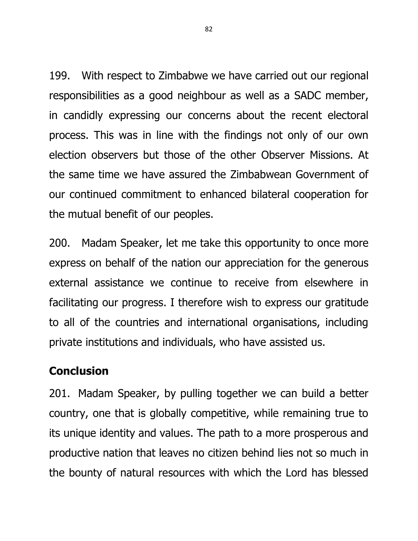199. With respect to Zimbabwe we have carried out our regional responsibilities as a good neighbour as well as a SADC member, in candidly expressing our concerns about the recent electoral process. This was in line with the findings not only of our own election observers but those of the other Observer Missions. At the same time we have assured the Zimbabwean Government of our continued commitment to enhanced bilateral cooperation for the mutual benefit of our peoples.

200. Madam Speaker, let me take this opportunity to once more express on behalf of the nation our appreciation for the generous external assistance we continue to receive from elsewhere in facilitating our progress. I therefore wish to express our gratitude to all of the countries and international organisations, including private institutions and individuals, who have assisted us.

# **Conclusion**

201. Madam Speaker, by pulling together we can build a better country, one that is globally competitive, while remaining true to its unique identity and values. The path to a more prosperous and productive nation that leaves no citizen behind lies not so much in the bounty of natural resources with which the Lord has blessed